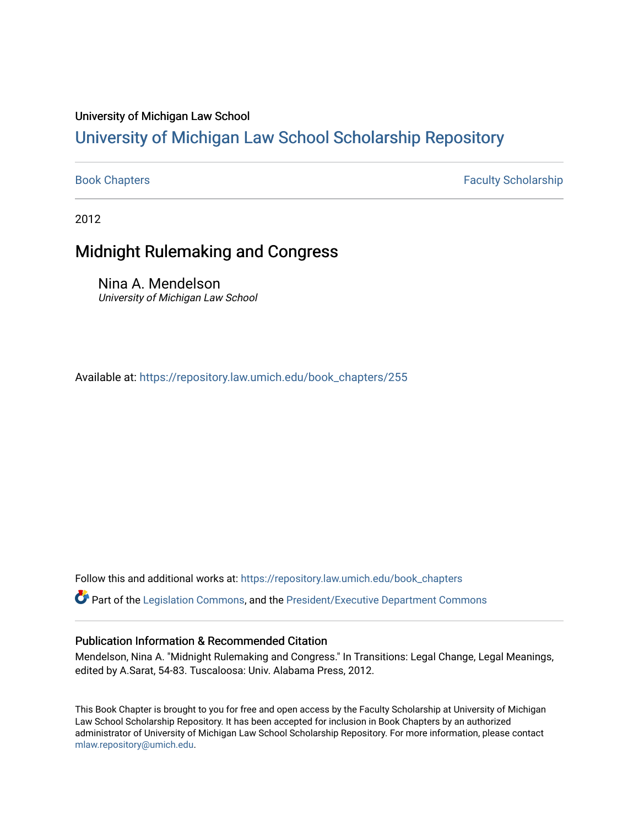### University of Michigan Law School

# [University of Michigan Law School Scholarship Repository](https://repository.law.umich.edu/)

[Book Chapters](https://repository.law.umich.edu/book_chapters) Faculty Scholarship

2012

# Midnight Rulemaking and Congress

Nina A. Mendelson University of Michigan Law School

Available at: [https://repository.law.umich.edu/book\\_chapters/255](https://repository.law.umich.edu/book_chapters/255) 

Follow this and additional works at: [https://repository.law.umich.edu/book\\_chapters](https://repository.law.umich.edu/book_chapters?utm_source=repository.law.umich.edu%2Fbook_chapters%2F255&utm_medium=PDF&utm_campaign=PDFCoverPages)

Part of the [Legislation Commons](http://network.bepress.com/hgg/discipline/859?utm_source=repository.law.umich.edu%2Fbook_chapters%2F255&utm_medium=PDF&utm_campaign=PDFCoverPages), and the [President/Executive Department Commons](http://network.bepress.com/hgg/discipline/1118?utm_source=repository.law.umich.edu%2Fbook_chapters%2F255&utm_medium=PDF&utm_campaign=PDFCoverPages) 

#### Publication Information & Recommended Citation

Mendelson, Nina A. "Midnight Rulemaking and Congress." In Transitions: Legal Change, Legal Meanings, edited by A.Sarat, 54-83. Tuscaloosa: Univ. Alabama Press, 2012.

This Book Chapter is brought to you for free and open access by the Faculty Scholarship at University of Michigan Law School Scholarship Repository. It has been accepted for inclusion in Book Chapters by an authorized administrator of University of Michigan Law School Scholarship Repository. For more information, please contact [mlaw.repository@umich.edu.](mailto:mlaw.repository@umich.edu)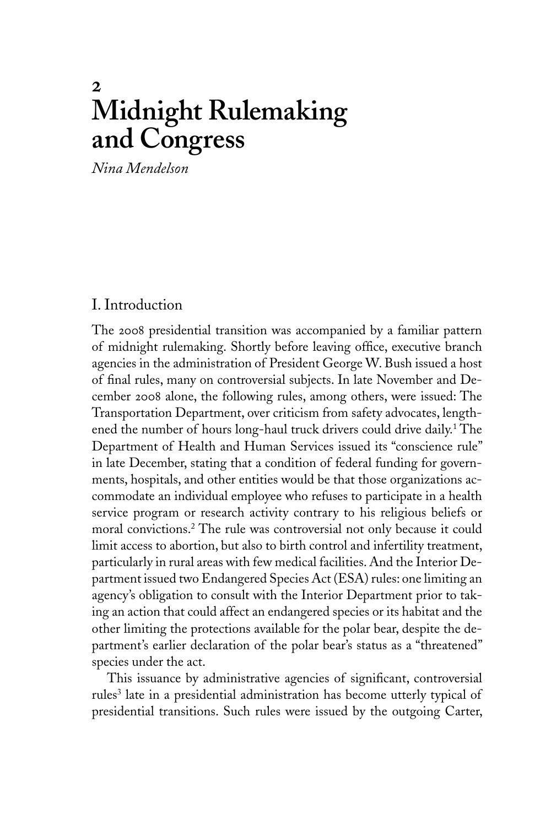# **2** Midnight Rulemaking and Congress

*Nina Mendelson*

#### I. Introduction

The 2008 presidential transition was accompanied by a familiar pattern of midnight rulemaking. Shortly before leaving office, executive branch agencies in the administration of President George W. Bush issued a host of final rules, many on controversial subjects. In late November and December 2008 alone, the following rules, among others, were issued: The Transportation Department, over criticism from safety advocates, lengthened the number of hours long-haul truck drivers could drive daily.<sup>1</sup> The Department of Health and Human Services issued its "conscience rule" in late December, stating that a condition of federal funding for governments, hospitals, and other entities would be that those organizations accommodate an individual employee who refuses to participate in a health service program or research activity contrary to his religious beliefs or moral convictions.<sup>2</sup> The rule was controversial not only because it could limit access to abortion, but also to birth control and infertility treatment, particularly in rural areas with few medical facilities. And the Interior Department issued two Endangered Species Act (ESA) rules: one limiting an agency's obligation to consult with the Interior Department prior to taking an action that could affect an endangered species or its habitat and the other limiting the protections available for the polar bear, despite the department's earlier declaration of the polar bear's status as a "threatened" species under the act.

This issuance by administrative agencies of significant, controversial rules<sup>3</sup> late in a presidential administration has become utterly typical of presidential transitions. Such rules were issued by the outgoing Carter,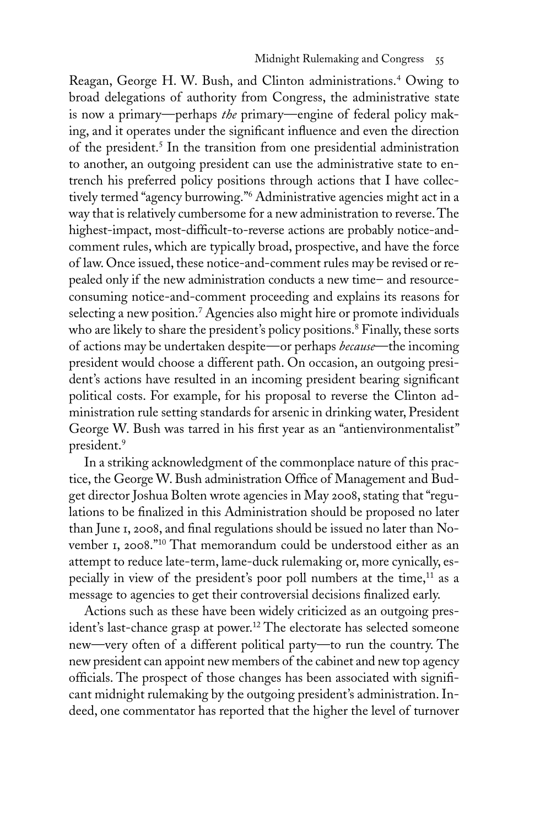Reagan, George H. W. Bush, and Clinton administrations.<sup>4</sup> Owing to broad delegations of authority from Congress, the administrative state is now a primary—perhaps *the* primary—engine of federal policy making, and it operates under the significant influence and even the direction of the president.<sup>5</sup> In the transition from one presidential administration to another, an outgoing president can use the administrative state to entrench his preferred policy positions through actions that I have collectively termed "agency burrowing."<sup>6</sup> Administrative agencies might act in a way that is relatively cumbersome for a new administration to reverse. The highest-impact, most-difficult-to-reverse actions are probably notice-andcomment rules, which are typically broad, prospective, and have the force of law. Once issued, these notice-and-comment rules may be revised or repealed only if the new administration conducts a new time– and resourceconsuming notice-and-comment proceeding and explains its reasons for selecting a new position.<sup>7</sup> Agencies also might hire or promote individuals who are likely to share the president's policy positions.<sup>8</sup> Finally, these sorts of actions may be undertaken despite—or perhaps *because*—the incoming president would choose a different path. On occasion, an outgoing president's actions have resulted in an incoming president bearing significant political costs. For example, for his proposal to reverse the Clinton administration rule setting standards for arsenic in drinking water, President George W. Bush was tarred in his first year as an "antienvironmentalist" president.<sup>9</sup>

In a striking acknowledgment of the commonplace nature of this practice, the George W. Bush administration Office of Management and Budget director Joshua Bolten wrote agencies in May 2008, stating that "regulations to be finalized in this Administration should be proposed no later than June 1, 2008, and final regulations should be issued no later than November 1, 2008."<sup>10</sup> That memorandum could be understood either as an attempt to reduce late-term, lame-duck rulemaking or, more cynically, especially in view of the president's poor poll numbers at the time,<sup>11</sup> as a message to agencies to get their controversial decisions finalized early.

Actions such as these have been widely criticized as an outgoing president's last-chance grasp at power.<sup>12</sup> The electorate has selected someone new—very often of a different political party—to run the country. The new president can appoint new members of the cabinet and new top agency officials. The prospect of those changes has been associated with significant midnight rulemaking by the outgoing president's administration. Indeed, one commentator has reported that the higher the level of turnover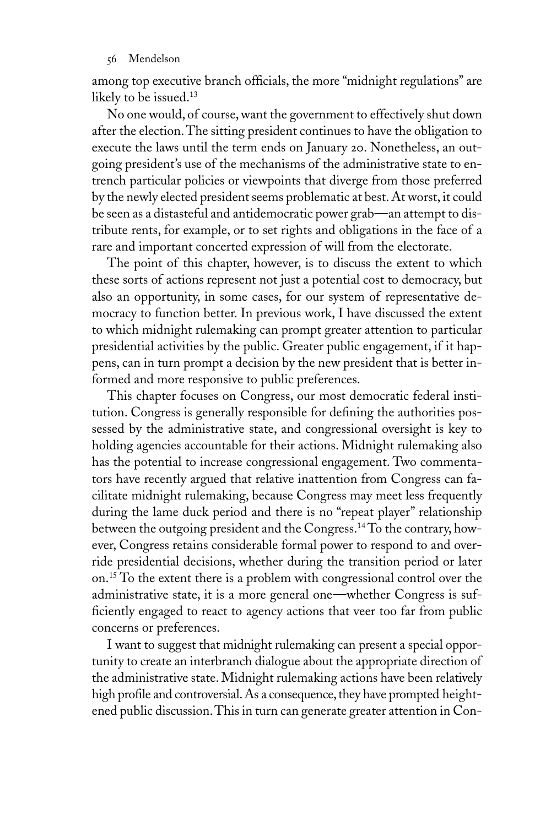among top executive branch officials, the more "midnight regulations" are likely to be issued.<sup>13</sup>

No one would, of course, want the government to effectively shut down after the election. The sitting president continues to have the obligation to execute the laws until the term ends on January 20. Nonetheless, an outgoing president's use of the mechanisms of the administrative state to entrench particular policies or viewpoints that diverge from those preferred by the newly elected president seems problematic at best. At worst, it could be seen as a distasteful and antidemocratic power grab—an attempt to distribute rents, for example, or to set rights and obligations in the face of a rare and important concerted expression of will from the electorate.

The point of this chapter, however, is to discuss the extent to which these sorts of actions represent not just a potential cost to democracy, but also an opportunity, in some cases, for our system of representative democracy to function better. In previous work, I have discussed the extent to which midnight rulemaking can prompt greater attention to particular presidential activities by the public. Greater public engagement, if it happens, can in turn prompt a decision by the new president that is better informed and more responsive to public preferences.

This chapter focuses on Congress, our most democratic federal institution. Congress is generally responsible for defining the authorities possessed by the administrative state, and congressional oversight is key to holding agencies accountable for their actions. Midnight rulemaking also has the potential to increase congressional engagement. Two commentators have recently argued that relative inattention from Congress can facilitate midnight rulemaking, because Congress may meet less frequently during the lame duck period and there is no "repeat player" relationship between the outgoing president and the Congress.<sup>14</sup> To the contrary, however, Congress retains considerable formal power to respond to and override presidential decisions, whether during the transition period or later on.<sup>15</sup> To the extent there is a problem with congressional control over the administrative state, it is a more general one—whether Congress is sufficiently engaged to react to agency actions that veer too far from public concerns or preferences.

I want to suggest that midnight rulemaking can present a special opportunity to create an interbranch dialogue about the appropriate direction of the administrative state. Midnight rulemaking actions have been relatively high profile and controversial. As a consequence, they have prompted heightened public discussion. This in turn can generate greater attention in Con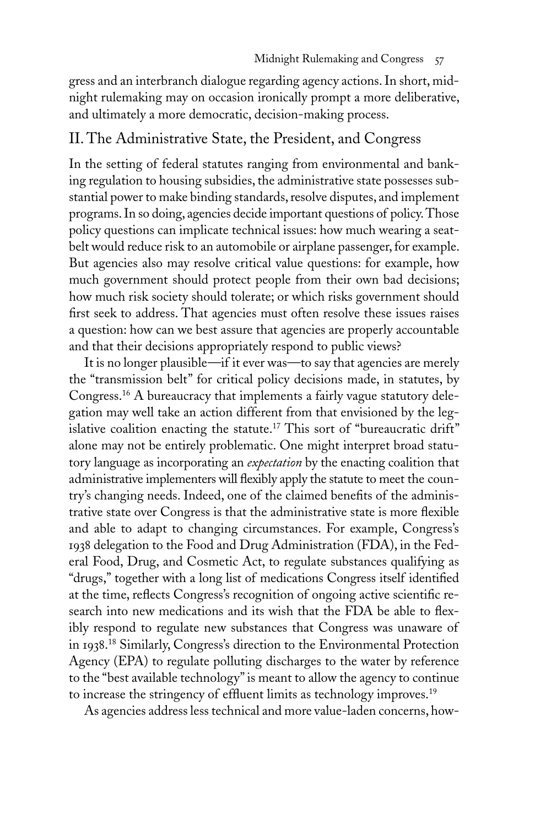gress and an interbranch dialogue regarding agency actions. In short, midnight rulemaking may on occasion ironically prompt a more deliberative, and ultimately a more democratic, decision-making process.

#### II. The Administrative State, the President, and Congress

In the setting of federal statutes ranging from environmental and banking regulation to housing subsidies, the administrative state possesses substantial power to make binding standards, resolve disputes, and implement programs. In so doing, agencies decide important questions of policy. Those policy questions can implicate technical issues: how much wearing a seatbelt would reduce risk to an automobile or airplane passenger, for example. But agencies also may resolve critical value questions: for example, how much government should protect people from their own bad decisions; how much risk society should tolerate; or which risks government should first seek to address. That agencies must often resolve these issues raises a question: how can we best assure that agencies are properly accountable and that their decisions appropriately respond to public views?

It is no longer plausible—if it ever was—to say that agencies are merely the "transmission belt" for critical policy decisions made, in statutes, by Congress.16 A bureaucracy that implements a fairly vague statutory delegation may well take an action different from that envisioned by the legislative coalition enacting the statute.<sup>17</sup> This sort of "bureaucratic drift" alone may not be entirely problematic. One might interpret broad statutory language as incorporating an *expectation* by the enacting coalition that administrative implementers will flexibly apply the statute to meet the country's changing needs. Indeed, one of the claimed benefits of the administrative state over Congress is that the administrative state is more flexible and able to adapt to changing circumstances. For example, Congress's 1938 delegation to the Food and Drug Administration (FDA), in the Federal Food, Drug, and Cosmetic Act, to regulate substances qualifying as "drugs," together with a long list of medications Congress itself identified at the time, reflects Congress's recognition of ongoing active scientific research into new medications and its wish that the FDA be able to flexibly respond to regulate new substances that Congress was unaware of in 1938.<sup>18</sup> Similarly, Congress's direction to the Environmental Protection Agency (EPA) to regulate polluting discharges to the water by reference to the "best available technology" is meant to allow the agency to continue to increase the stringency of effluent limits as technology improves.<sup>19</sup>

As agencies address less technical and more value-laden concerns, how-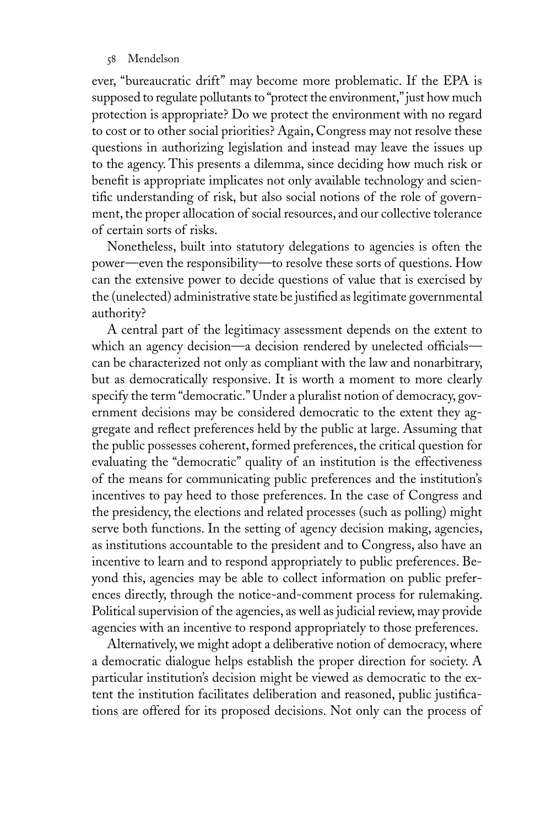ever, "bureaucratic drift" may become more problematic. If the EPA is supposed to regulate pollutants to "protect the environment," just how much protection is appropriate? Do we protect the environment with no regard to cost or to other social priorities? Again, Congress may not resolve these questions in authorizing legislation and instead may leave the issues up to the agency. This presents a dilemma, since deciding how much risk or benefit is appropriate implicates not only available technology and scientific understanding of risk, but also social notions of the role of government, the proper allocation of social resources, and our collective tolerance of certain sorts of risks.

Nonetheless, built into statutory delegations to agencies is often the power—even the responsibility—to resolve these sorts of questions. How can the extensive power to decide questions of value that is exercised by the (unelected) administrative state be justified as legitimate governmental authority?

A central part of the legitimacy assessment depends on the extent to which an agency decision—a decision rendered by unelected officials can be characterized not only as compliant with the law and nonarbitrary, but as democratically responsive. It is worth a moment to more clearly specify the term "democratic." Under a pluralist notion of democracy, government decisions may be considered democratic to the extent they aggregate and reflect preferences held by the public at large. Assuming that the public possesses coherent, formed preferences, the critical question for evaluating the "democratic" quality of an institution is the effectiveness of the means for communicating public preferences and the institution's incentives to pay heed to those preferences. In the case of Congress and the presidency, the elections and related processes (such as polling) might serve both functions. In the setting of agency decision making, agencies, as institutions accountable to the president and to Congress, also have an incentive to learn and to respond appropriately to public preferences. Beyond this, agencies may be able to collect information on public preferences directly, through the notice-and-comment process for rulemaking. Political supervision of the agencies, as well as judicial review, may provide agencies with an incentive to respond appropriately to those preferences.

Alternatively, we might adopt a deliberative notion of democracy, where a democratic dialogue helps establish the proper direction for society. A particular institution's decision might be viewed as democratic to the extent the institution facilitates deliberation and reasoned, public justifications are offered for its proposed decisions. Not only can the process of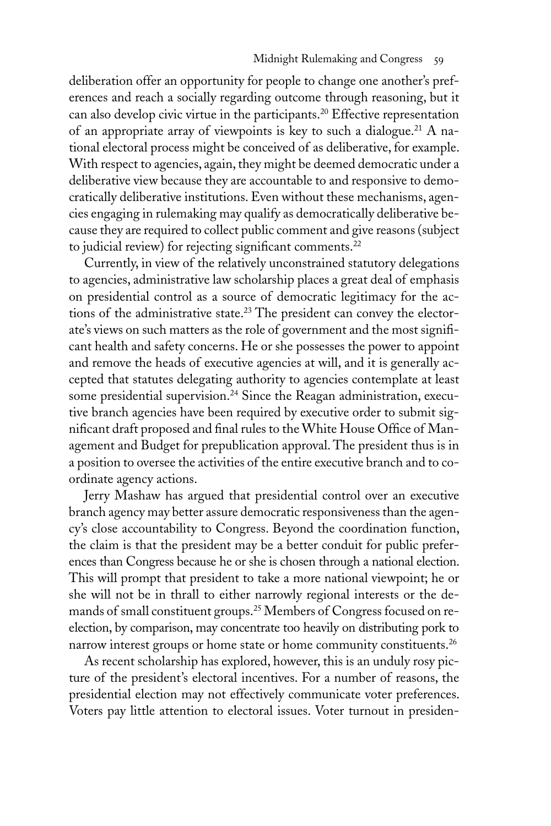deliberation offer an opportunity for people to change one another's preferences and reach a socially regarding outcome through reasoning, but it can also develop civic virtue in the participants.<sup>20</sup> Effective representation of an appropriate array of viewpoints is key to such a dialogue.<sup>21</sup> A national electoral process might be conceived of as deliberative, for example. With respect to agencies, again, they might be deemed democratic under a deliberative view because they are accountable to and responsive to democratically deliberative institutions. Even without these mechanisms, agencies engaging in rulemaking may qualify as democratically deliberative because they are required to collect public comment and give reasons (subject to judicial review) for rejecting significant comments.<sup>22</sup>

Currently, in view of the relatively unconstrained statutory delegations to agencies, administrative law scholarship places a great deal of emphasis on presidential control as a source of democratic legitimacy for the actions of the administrative state.<sup>23</sup> The president can convey the electorate's views on such matters as the role of government and the most significant health and safety concerns. He or she possesses the power to appoint and remove the heads of executive agencies at will, and it is generally accepted that statutes delegating authority to agencies contemplate at least some presidential supervision.<sup>24</sup> Since the Reagan administration, executive branch agencies have been required by executive order to submit significant draft proposed and final rules to the White House Office of Management and Budget for prepublication approval. The president thus is in a position to oversee the activities of the entire executive branch and to coordinate agency actions.

Jerry Mashaw has argued that presidential control over an executive branch agency may better assure democratic responsiveness than the agency's close accountability to Congress. Beyond the coordination function, the claim is that the president may be a better conduit for public preferences than Congress because he or she is chosen through a national election. This will prompt that president to take a more national viewpoint; he or she will not be in thrall to either narrowly regional interests or the demands of small constituent groups.25 Members of Congress focused on reelection, by comparison, may concentrate too heavily on distributing pork to narrow interest groups or home state or home community constituents.<sup>26</sup>

As recent scholarship has explored, however, this is an unduly rosy picture of the president's electoral incentives. For a number of reasons, the presidential election may not effectively communicate voter preferences. Voters pay little attention to electoral issues. Voter turnout in presiden-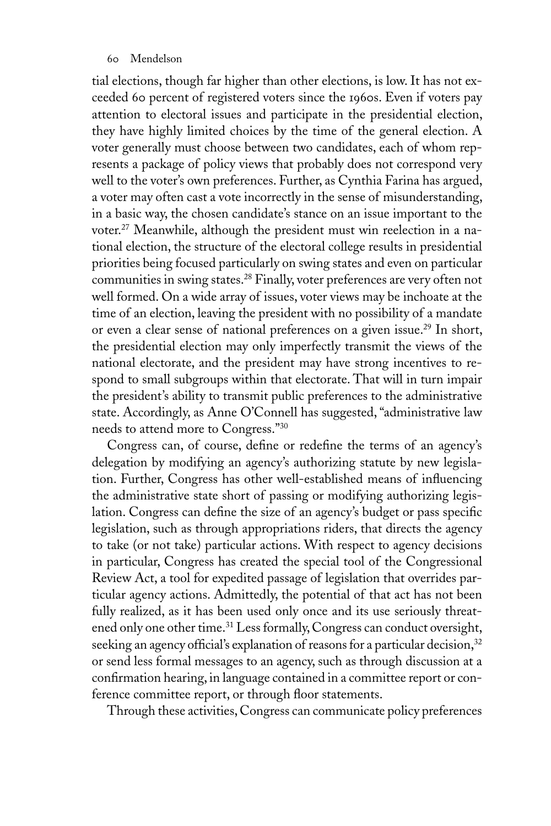tial elections, though far higher than other elections, is low. It has not exceeded 60 percent of registered voters since the 1960s. Even if voters pay attention to electoral issues and participate in the presidential election, they have highly limited choices by the time of the general election. A voter generally must choose between two candidates, each of whom represents a package of policy views that probably does not correspond very well to the voter's own preferences. Further, as Cynthia Farina has argued, a voter may often cast a vote incorrectly in the sense of misunderstanding, in a basic way, the chosen candidate's stance on an issue important to the voter.27 Meanwhile, although the president must win reelection in a national election, the structure of the electoral college results in presidential priorities being focused particularly on swing states and even on particular communities in swing states.<sup>28</sup> Finally, voter preferences are very often not well formed. On a wide array of issues, voter views may be inchoate at the time of an election, leaving the president with no possibility of a mandate or even a clear sense of national preferences on a given issue.<sup>29</sup> In short, the presidential election may only imperfectly transmit the views of the national electorate, and the president may have strong incentives to respond to small subgroups within that electorate. That will in turn impair the president's ability to transmit public preferences to the administrative state. Accordingly, as Anne O'Connell has suggested, "administrative law needs to attend more to Congress."<sup>30</sup>

Congress can, of course, define or redefine the terms of an agency's delegation by modifying an agency's authorizing statute by new legislation. Further, Congress has other well-established means of influencing the administrative state short of passing or modifying authorizing legislation. Congress can define the size of an agency's budget or pass specific legislation, such as through appropriations riders, that directs the agency to take (or not take) particular actions. With respect to agency decisions in particular, Congress has created the special tool of the Congressional Review Act, a tool for expedited passage of legislation that overrides particular agency actions. Admittedly, the potential of that act has not been fully realized, as it has been used only once and its use seriously threatened only one other time.<sup>31</sup> Less formally, Congress can conduct oversight, seeking an agency official's explanation of reasons for a particular decision,<sup>32</sup> or send less formal messages to an agency, such as through discussion at a confirmation hearing, in language contained in a committee report or conference committee report, or through floor statements.

Through these activities, Congress can communicate policy preferences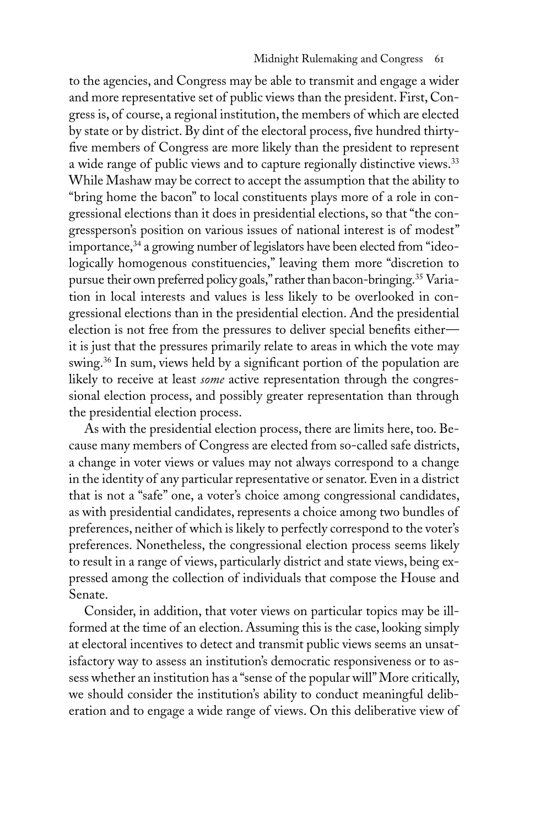to the agencies, and Congress may be able to transmit and engage a wider and more representative set of public views than the president. First, Congress is, of course, a regional institution, the members of which are elected by state or by district. By dint of the electoral process, five hundred thirtyfive members of Congress are more likely than the president to represent a wide range of public views and to capture regionally distinctive views.<sup>33</sup> While Mashaw may be correct to accept the assumption that the ability to "bring home the bacon" to local constituents plays more of a role in congressional elections than it does in presidential elections, so that "the congressperson's position on various issues of national interest is of modest" importance,<sup>34</sup> a growing number of legislators have been elected from "ideologically homogenous constituencies," leaving them more "discretion to pursue their own preferred policy goals," rather than bacon-bringing.35 Variation in local interests and values is less likely to be overlooked in congressional elections than in the presidential election. And the presidential election is not free from the pressures to deliver special benefits either it is just that the pressures primarily relate to areas in which the vote may swing.<sup>36</sup> In sum, views held by a significant portion of the population are likely to receive at least *some* active representation through the congressional election process, and possibly greater representation than through the presidential election process.

As with the presidential election process, there are limits here, too. Because many members of Congress are elected from so-called safe districts, a change in voter views or values may not always correspond to a change in the identity of any particular representative or senator. Even in a district that is not a "safe" one, a voter's choice among congressional candidates, as with presidential candidates, represents a choice among two bundles of preferences, neither of which is likely to perfectly correspond to the voter's preferences. Nonetheless, the congressional election process seems likely to result in a range of views, particularly district and state views, being expressed among the collection of individuals that compose the House and Senate.

Consider, in addition, that voter views on particular topics may be illformed at the time of an election. Assuming this is the case, looking simply at electoral incentives to detect and transmit public views seems an unsatisfactory way to assess an institution's democratic responsiveness or to assess whether an institution has a "sense of the popular will" More critically, we should consider the institution's ability to conduct meaningful deliberation and to engage a wide range of views. On this deliberative view of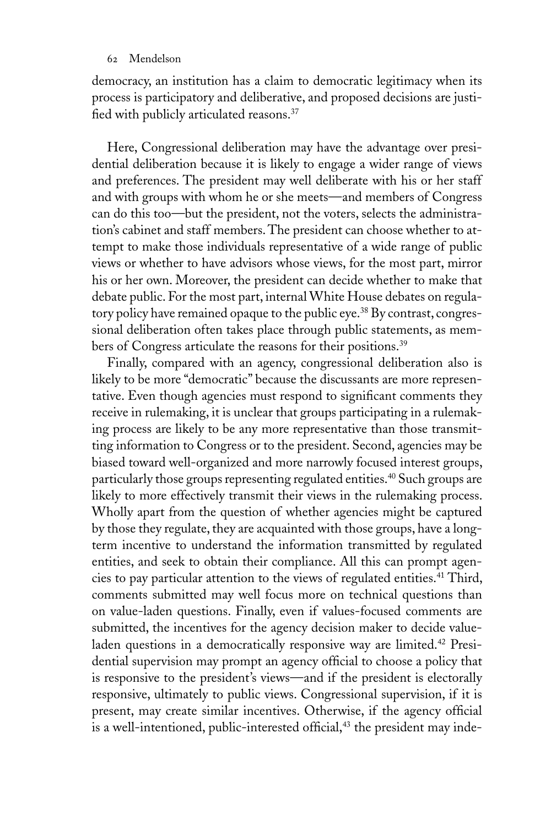democracy, an institution has a claim to democratic legitimacy when its process is participatory and deliberative, and proposed decisions are justified with publicly articulated reasons.<sup>37</sup>

Here, Congressional deliberation may have the advantage over presidential deliberation because it is likely to engage a wider range of views and preferences. The president may well deliberate with his or her staff and with groups with whom he or she meets—and members of Congress can do this too—but the president, not the voters, selects the administration's cabinet and staff members. The president can choose whether to attempt to make those individuals representative of a wide range of public views or whether to have advisors whose views, for the most part, mirror his or her own. Moreover, the president can decide whether to make that debate public. For the most part, internal White House debates on regulatory policy have remained opaque to the public eye.<sup>38</sup> By contrast, congressional deliberation often takes place through public statements, as members of Congress articulate the reasons for their positions.<sup>39</sup>

Finally, compared with an agency, congressional deliberation also is likely to be more "democratic" because the discussants are more representative. Even though agencies must respond to significant comments they receive in rulemaking, it is unclear that groups participating in a rulemaking process are likely to be any more representative than those transmitting information to Congress or to the president. Second, agencies may be biased toward well-organized and more narrowly focused interest groups, particularly those groups representing regulated entities.<sup>40</sup> Such groups are likely to more effectively transmit their views in the rulemaking process. Wholly apart from the question of whether agencies might be captured by those they regulate, they are acquainted with those groups, have a longterm incentive to understand the information transmitted by regulated entities, and seek to obtain their compliance. All this can prompt agencies to pay particular attention to the views of regulated entities.<sup>41</sup> Third, comments submitted may well focus more on technical questions than on value-laden questions. Finally, even if values-focused comments are submitted, the incentives for the agency decision maker to decide valueladen questions in a democratically responsive way are limited.<sup>42</sup> Presidential supervision may prompt an agency official to choose a policy that is responsive to the president's views—and if the president is electorally responsive, ultimately to public views. Congressional supervision, if it is present, may create similar incentives. Otherwise, if the agency official is a well-intentioned, public-interested official,<sup>43</sup> the president may inde-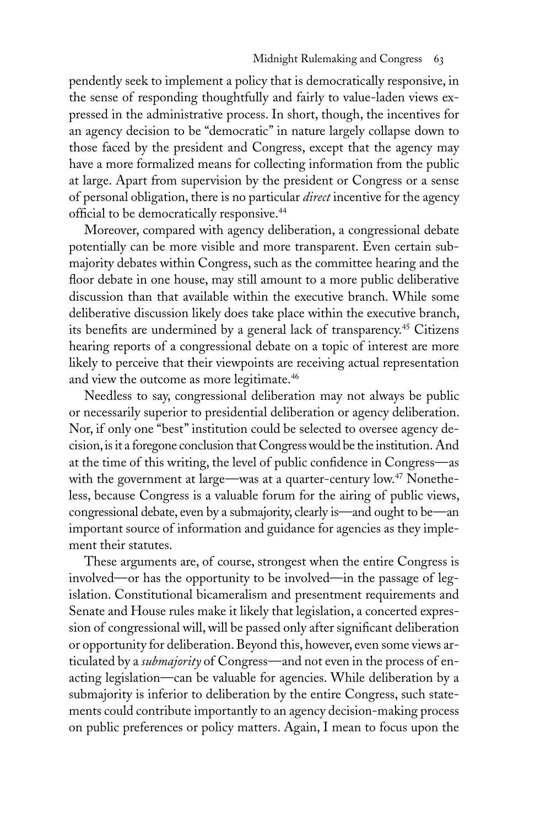pendently seek to implement a policy that is democratically responsive, in the sense of responding thoughtfully and fairly to value-laden views expressed in the administrative process. In short, though, the incentives for an agency decision to be "democratic" in nature largely collapse down to those faced by the president and Congress, except that the agency may have a more formalized means for collecting information from the public at large. Apart from supervision by the president or Congress or a sense of personal obligation, there is no particular *direct* incentive for the agency official to be democratically responsive.<sup>44</sup>

Moreover, compared with agency deliberation, a congressional debate potentially can be more visible and more transparent. Even certain submajority debates within Congress, such as the committee hearing and the floor debate in one house, may still amount to a more public deliberative discussion than that available within the executive branch. While some deliberative discussion likely does take place within the executive branch, its benefits are undermined by a general lack of transparency.<sup>45</sup> Citizens hearing reports of a congressional debate on a topic of interest are more likely to perceive that their viewpoints are receiving actual representation and view the outcome as more legitimate.<sup>46</sup>

Needless to say, congressional deliberation may not always be public or necessarily superior to presidential deliberation or agency deliberation. Nor, if only one "best" institution could be selected to oversee agency decision, is it a foregone conclusion that Congress would be the institution. And at the time of this writing, the level of public confidence in Congress—as with the government at large—was at a quarter-century low.<sup>47</sup> Nonetheless, because Congress is a valuable forum for the airing of public views, congressional debate, even by a submajority, clearly is—and ought to be—an important source of information and guidance for agencies as they implement their statutes.

These arguments are, of course, strongest when the entire Congress is involved—or has the opportunity to be involved—in the passage of legislation. Constitutional bicameralism and presentment requirements and Senate and House rules make it likely that legislation, a concerted expression of congressional will, will be passed only after significant deliberation or opportunity for deliberation. Beyond this, however, even some views articulated by a *submajority* of Congress—and not even in the process of enacting legislation—can be valuable for agencies. While deliberation by a submajority is inferior to deliberation by the entire Congress, such statements could contribute importantly to an agency decision-making process on public preferences or policy matters. Again, I mean to focus upon the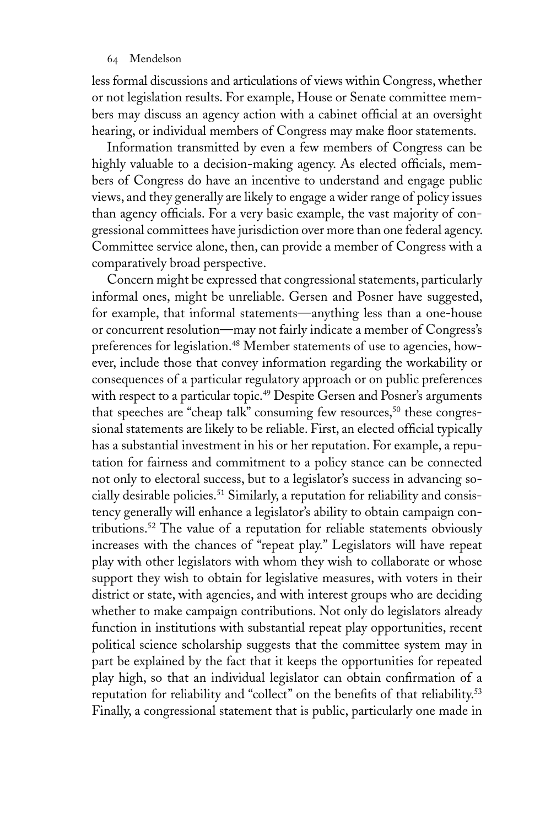less formal discussions and articulations of views within Congress, whether or not legislation results. For example, House or Senate committee members may discuss an agency action with a cabinet official at an oversight hearing, or individual members of Congress may make floor statements.

Information transmitted by even a few members of Congress can be highly valuable to a decision-making agency. As elected officials, members of Congress do have an incentive to understand and engage public views, and they generally are likely to engage a wider range of policy issues than agency officials. For a very basic example, the vast majority of congressional committees have jurisdiction over more than one federal agency. Committee service alone, then, can provide a member of Congress with a comparatively broad perspective.

Concern might be expressed that congressional statements, particularly informal ones, might be unreliable. Gersen and Posner have suggested, for example, that informal statements—anything less than a one-house or concurrent resolution—may not fairly indicate a member of Congress's preferences for legislation.<sup>48</sup> Member statements of use to agencies, however, include those that convey information regarding the workability or consequences of a particular regulatory approach or on public preferences with respect to a particular topic.<sup>49</sup> Despite Gersen and Posner's arguments that speeches are "cheap talk" consuming few resources,<sup>50</sup> these congressional statements are likely to be reliable. First, an elected official typically has a substantial investment in his or her reputation. For example, a reputation for fairness and commitment to a policy stance can be connected not only to electoral success, but to a legislator's success in advancing socially desirable policies.<sup>51</sup> Similarly, a reputation for reliability and consistency generally will enhance a legislator's ability to obtain campaign contributions.<sup>52</sup> The value of a reputation for reliable statements obviously increases with the chances of "repeat play." Legislators will have repeat play with other legislators with whom they wish to collaborate or whose support they wish to obtain for legislative measures, with voters in their district or state, with agencies, and with interest groups who are deciding whether to make campaign contributions. Not only do legislators already function in institutions with substantial repeat play opportunities, recent political science scholarship suggests that the committee system may in part be explained by the fact that it keeps the opportunities for repeated play high, so that an individual legislator can obtain confirmation of a reputation for reliability and "collect" on the benefits of that reliability.<sup>53</sup> Finally, a congressional statement that is public, particularly one made in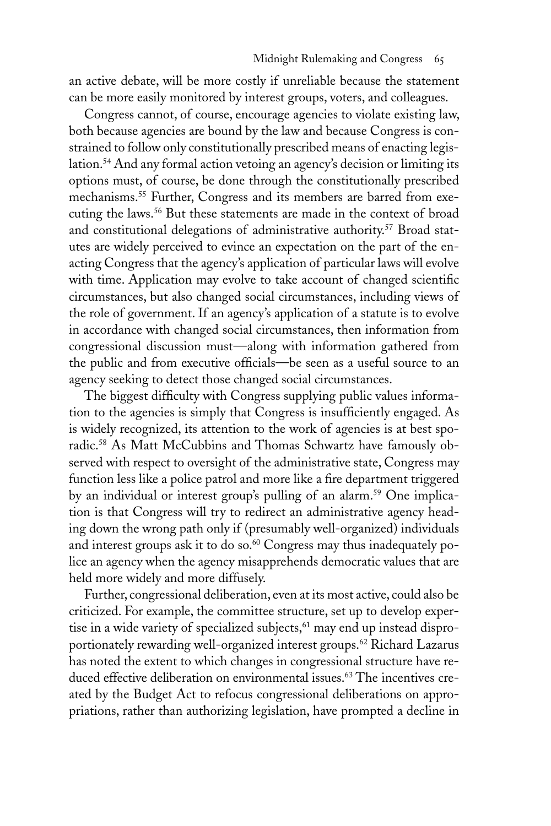an active debate, will be more costly if unreliable because the statement can be more easily monitored by interest groups, voters, and colleagues.

Congress cannot, of course, encourage agencies to violate existing law, both because agencies are bound by the law and because Congress is constrained to follow only constitutionally prescribed means of enacting legislation.<sup>54</sup> And any formal action vetoing an agency's decision or limiting its options must, of course, be done through the constitutionally prescribed mechanisms.55 Further, Congress and its members are barred from executing the laws.<sup>56</sup> But these statements are made in the context of broad and constitutional delegations of administrative authority.57 Broad statutes are widely perceived to evince an expectation on the part of the enacting Congress that the agency's application of particular laws will evolve with time. Application may evolve to take account of changed scientific circumstances, but also changed social circumstances, including views of the role of government. If an agency's application of a statute is to evolve in accordance with changed social circumstances, then information from congressional discussion must—along with information gathered from the public and from executive officials—be seen as a useful source to an agency seeking to detect those changed social circumstances.

The biggest difficulty with Congress supplying public values information to the agencies is simply that Congress is insufficiently engaged. As is widely recognized, its attention to the work of agencies is at best sporadic.58 As Matt McCubbins and Thomas Schwartz have famously observed with respect to oversight of the administrative state, Congress may function less like a police patrol and more like a fire department triggered by an individual or interest group's pulling of an alarm.<sup>59</sup> One implication is that Congress will try to redirect an administrative agency heading down the wrong path only if (presumably well-organized) individuals and interest groups ask it to do so.<sup>60</sup> Congress may thus inadequately police an agency when the agency misapprehends democratic values that are held more widely and more diffusely.

Further, congressional deliberation, even at its most active, could also be criticized. For example, the committee structure, set up to develop expertise in a wide variety of specialized subjects,<sup>61</sup> may end up instead disproportionately rewarding well-organized interest groups.<sup>62</sup> Richard Lazarus has noted the extent to which changes in congressional structure have reduced effective deliberation on environmental issues.<sup>63</sup> The incentives created by the Budget Act to refocus congressional deliberations on appropriations, rather than authorizing legislation, have prompted a decline in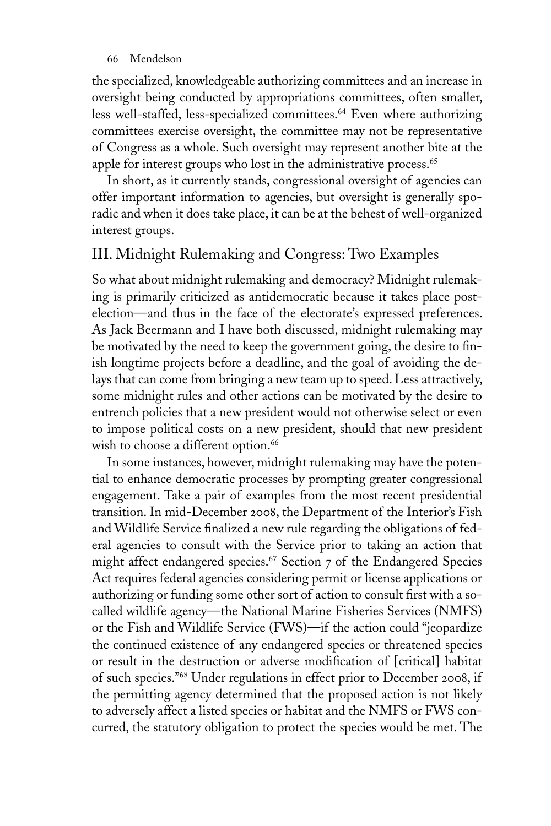the specialized, knowledgeable authorizing committees and an increase in oversight being conducted by appropriations committees, often smaller, less well-staffed, less-specialized committees.<sup>64</sup> Even where authorizing committees exercise oversight, the committee may not be representative of Congress as a whole. Such oversight may represent another bite at the apple for interest groups who lost in the administrative process.<sup>65</sup>

In short, as it currently stands, congressional oversight of agencies can offer important information to agencies, but oversight is generally sporadic and when it does take place, it can be at the behest of well-organized interest groups.

# III. Midnight Rulemaking and Congress: Two Examples

So what about midnight rulemaking and democracy? Midnight rulemaking is primarily criticized as antidemocratic because it takes place postelection—and thus in the face of the electorate's expressed preferences. As Jack Beermann and I have both discussed, midnight rulemaking may be motivated by the need to keep the government going, the desire to finish longtime projects before a deadline, and the goal of avoiding the delays that can come from bringing a new team up to speed. Less attractively, some midnight rules and other actions can be motivated by the desire to entrench policies that a new president would not otherwise select or even to impose political costs on a new president, should that new president wish to choose a different option.<sup>66</sup>

In some instances, however, midnight rulemaking may have the potential to enhance democratic processes by prompting greater congressional engagement. Take a pair of examples from the most recent presidential transition. In mid-December 2008, the Department of the Interior's Fish and Wildlife Service finalized a new rule regarding the obligations of federal agencies to consult with the Service prior to taking an action that might affect endangered species.<sup>67</sup> Section  $7$  of the Endangered Species Act requires federal agencies considering permit or license applications or authorizing or funding some other sort of action to consult first with a socalled wildlife agency—the National Marine Fisheries Services (NMFS) or the Fish and Wildlife Service (FWS)—if the action could "jeopardize the continued existence of any endangered species or threatened species or result in the destruction or adverse modification of [critical] habitat of such species."<sup>68</sup> Under regulations in effect prior to December 2008, if the permitting agency determined that the proposed action is not likely to adversely affect a listed species or habitat and the NMFS or FWS concurred, the statutory obligation to protect the species would be met. The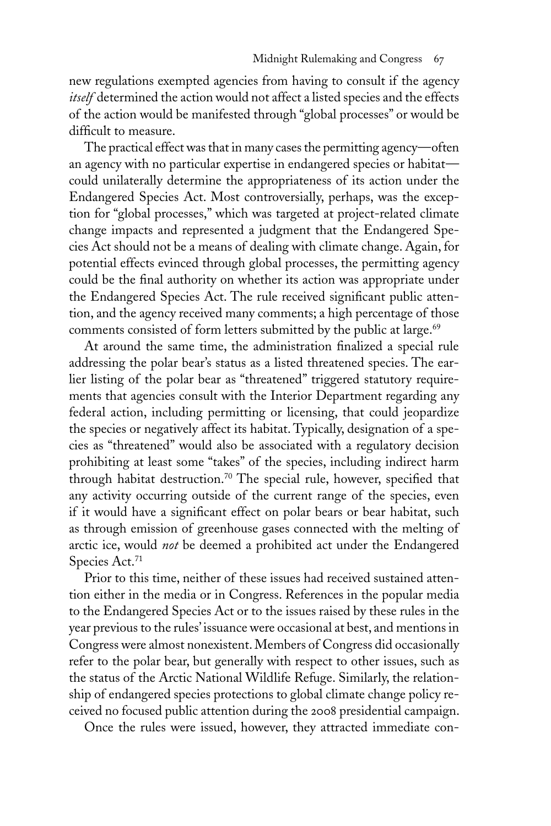new regulations exempted agencies from having to consult if the agency *itself* determined the action would not affect a listed species and the effects of the action would be manifested through "global processes" or would be difficult to measure.

The practical effect was that in many cases the permitting agency—often an agency with no particular expertise in endangered species or habitat could unilaterally determine the appropriateness of its action under the Endangered Species Act. Most controversially, perhaps, was the exception for "global processes," which was targeted at project-related climate change impacts and represented a judgment that the Endangered Species Act should not be a means of dealing with climate change. Again, for potential effects evinced through global processes, the permitting agency could be the final authority on whether its action was appropriate under the Endangered Species Act. The rule received significant public attention, and the agency received many comments; a high percentage of those comments consisted of form letters submitted by the public at large.<sup>69</sup>

At around the same time, the administration finalized a special rule addressing the polar bear's status as a listed threatened species. The earlier listing of the polar bear as "threatened" triggered statutory requirements that agencies consult with the Interior Department regarding any federal action, including permitting or licensing, that could jeopardize the species or negatively affect its habitat. Typically, designation of a species as "threatened" would also be associated with a regulatory decision prohibiting at least some "takes" of the species, including indirect harm through habitat destruction.<sup>70</sup> The special rule, however, specified that any activity occurring outside of the current range of the species, even if it would have a significant effect on polar bears or bear habitat, such as through emission of greenhouse gases connected with the melting of arctic ice, would *not* be deemed a prohibited act under the Endangered Species Act.<sup>71</sup>

Prior to this time, neither of these issues had received sustained attention either in the media or in Congress. References in the popular media to the Endangered Species Act or to the issues raised by these rules in the year previous to the rules' issuance were occasional at best, and mentions in Congress were almost nonexistent. Members of Congress did occasionally refer to the polar bear, but generally with respect to other issues, such as the status of the Arctic National Wildlife Refuge. Similarly, the relationship of endangered species protections to global climate change policy received no focused public attention during the 2008 presidential campaign.

Once the rules were issued, however, they attracted immediate con-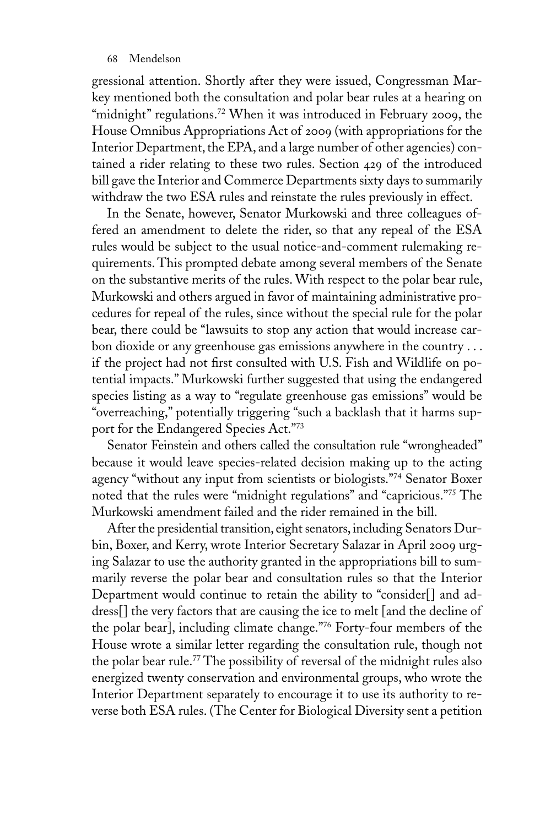gressional attention. Shortly after they were issued, Congressman Markey mentioned both the consultation and polar bear rules at a hearing on "midnight" regulations.<sup>72</sup> When it was introduced in February 2009, the House Omnibus Appropriations Act of 2009 (with appropriations for the Interior Department, the EPA, and a large number of other agencies) contained a rider relating to these two rules. Section 429 of the introduced bill gave the Interior and Commerce Departments sixty days to summarily withdraw the two ESA rules and reinstate the rules previously in effect.

In the Senate, however, Senator Murkowski and three colleagues offered an amendment to delete the rider, so that any repeal of the ESA rules would be subject to the usual notice-and-comment rulemaking requirements. This prompted debate among several members of the Senate on the substantive merits of the rules. With respect to the polar bear rule, Murkowski and others argued in favor of maintaining administrative procedures for repeal of the rules, since without the special rule for the polar bear, there could be "lawsuits to stop any action that would increase carbon dioxide or any greenhouse gas emissions anywhere in the country . . . if the project had not first consulted with U.S. Fish and Wildlife on potential impacts." Murkowski further suggested that using the endangered species listing as a way to "regulate greenhouse gas emissions" would be "overreaching," potentially triggering "such a backlash that it harms support for the Endangered Species Act."<sup>73</sup>

Senator Feinstein and others called the consultation rule "wrongheaded" because it would leave species-related decision making up to the acting agency "without any input from scientists or biologists."<sup>74</sup> Senator Boxer noted that the rules were "midnight regulations" and "capricious."<sup>75</sup> The Murkowski amendment failed and the rider remained in the bill.

After the presidential transition, eight senators, including Senators Durbin, Boxer, and Kerry, wrote Interior Secretary Salazar in April 2009 urging Salazar to use the authority granted in the appropriations bill to summarily reverse the polar bear and consultation rules so that the Interior Department would continue to retain the ability to "consider[] and address[] the very factors that are causing the ice to melt [and the decline of the polar bear], including climate change."<sup>76</sup> Forty-four members of the House wrote a similar letter regarding the consultation rule, though not the polar bear rule.<sup>77</sup> The possibility of reversal of the midnight rules also energized twenty conservation and environmental groups, who wrote the Interior Department separately to encourage it to use its authority to reverse both ESA rules. (The Center for Biological Diversity sent a petition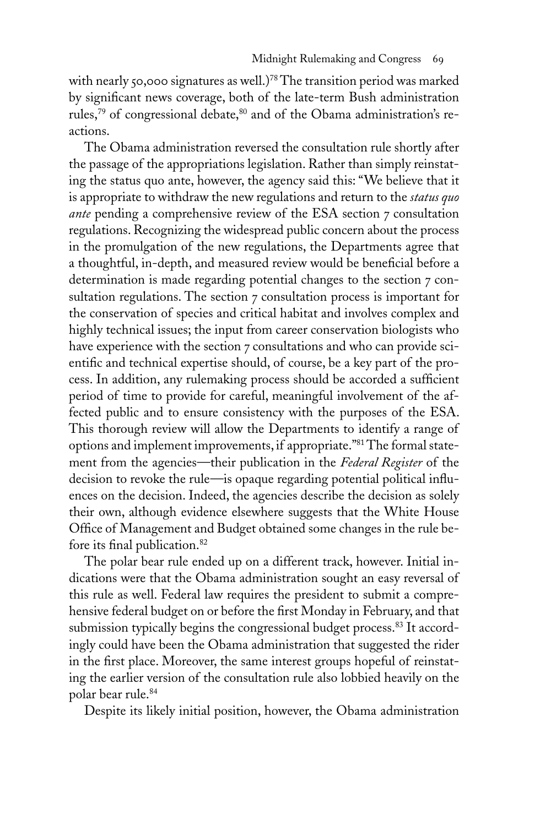with nearly 50,000 signatures as well.)<sup>78</sup> The transition period was marked by significant news coverage, both of the late-term Bush administration rules,<sup>79</sup> of congressional debate, $80$  and of the Obama administration's reactions.

The Obama administration reversed the consultation rule shortly after the passage of the appropriations legislation. Rather than simply reinstating the status quo ante, however, the agency said this: "We believe that it is appropriate to withdraw the new regulations and return to the *status quo ante* pending a comprehensive review of the ESA section 7 consultation regulations. Recognizing the widespread public concern about the process in the promulgation of the new regulations, the Departments agree that a thoughtful, in-depth, and measured review would be beneficial before a determination is made regarding potential changes to the section 7 consultation regulations. The section 7 consultation process is important for the conservation of species and critical habitat and involves complex and highly technical issues; the input from career conservation biologists who have experience with the section 7 consultations and who can provide scientific and technical expertise should, of course, be a key part of the process. In addition, any rulemaking process should be accorded a sufficient period of time to provide for careful, meaningful involvement of the affected public and to ensure consistency with the purposes of the ESA. This thorough review will allow the Departments to identify a range of options and implement improvements, if appropriate."81 The formal statement from the agencies—their publication in the *Federal Register* of the decision to revoke the rule—is opaque regarding potential political influences on the decision. Indeed, the agencies describe the decision as solely their own, although evidence elsewhere suggests that the White House Office of Management and Budget obtained some changes in the rule before its final publication.<sup>82</sup>

The polar bear rule ended up on a different track, however. Initial indications were that the Obama administration sought an easy reversal of this rule as well. Federal law requires the president to submit a comprehensive federal budget on or before the first Monday in February, and that submission typically begins the congressional budget process.<sup>83</sup> It accordingly could have been the Obama administration that suggested the rider in the first place. Moreover, the same interest groups hopeful of reinstating the earlier version of the consultation rule also lobbied heavily on the polar bear rule.<sup>84</sup>

Despite its likely initial position, however, the Obama administration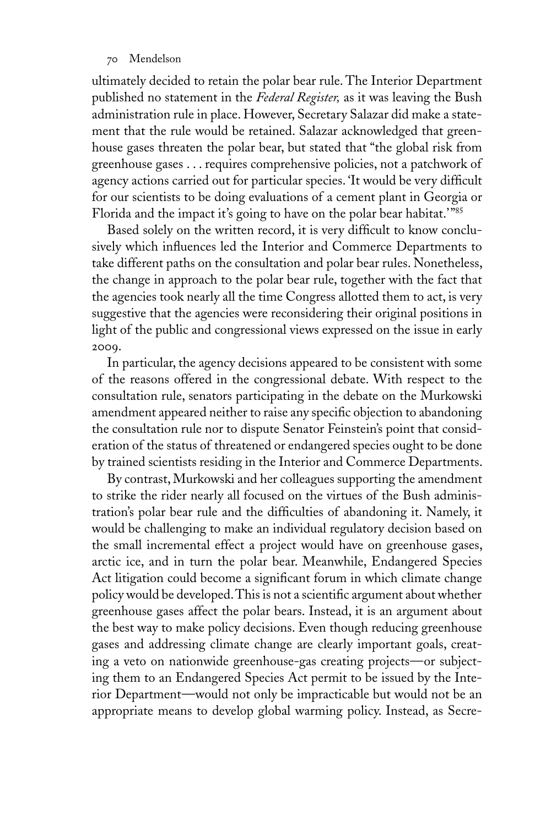ultimately decided to retain the polar bear rule. The Interior Department published no statement in the *Federal Register,* as it was leaving the Bush administration rule in place. However, Secretary Salazar did make a statement that the rule would be retained. Salazar acknowledged that greenhouse gases threaten the polar bear, but stated that "the global risk from greenhouse gases . . . requires comprehensive policies, not a patchwork of agency actions carried out for particular species. 'It would be very difficult for our scientists to be doing evaluations of a cement plant in Georgia or Florida and the impact it's going to have on the polar bear habitat."<sup>85</sup>

Based solely on the written record, it is very difficult to know conclusively which influences led the Interior and Commerce Departments to take different paths on the consultation and polar bear rules. Nonetheless, the change in approach to the polar bear rule, together with the fact that the agencies took nearly all the time Congress allotted them to act, is very suggestive that the agencies were reconsidering their original positions in light of the public and congressional views expressed on the issue in early 2009.

In particular, the agency decisions appeared to be consistent with some of the reasons offered in the congressional debate. With respect to the consultation rule, senators participating in the debate on the Murkowski amendment appeared neither to raise any specific objection to abandoning the consultation rule nor to dispute Senator Feinstein's point that consideration of the status of threatened or endangered species ought to be done by trained scientists residing in the Interior and Commerce Departments.

By contrast, Murkowski and her colleagues supporting the amendment to strike the rider nearly all focused on the virtues of the Bush administration's polar bear rule and the difficulties of abandoning it. Namely, it would be challenging to make an individual regulatory decision based on the small incremental effect a project would have on greenhouse gases, arctic ice, and in turn the polar bear. Meanwhile, Endangered Species Act litigation could become a significant forum in which climate change policy would be developed. This is not a scientific argument about whether greenhouse gases affect the polar bears. Instead, it is an argument about the best way to make policy decisions. Even though reducing greenhouse gases and addressing climate change are clearly important goals, creating a veto on nationwide greenhouse-gas creating projects—or subjecting them to an Endangered Species Act permit to be issued by the Interior Department—would not only be impracticable but would not be an appropriate means to develop global warming policy. Instead, as Secre-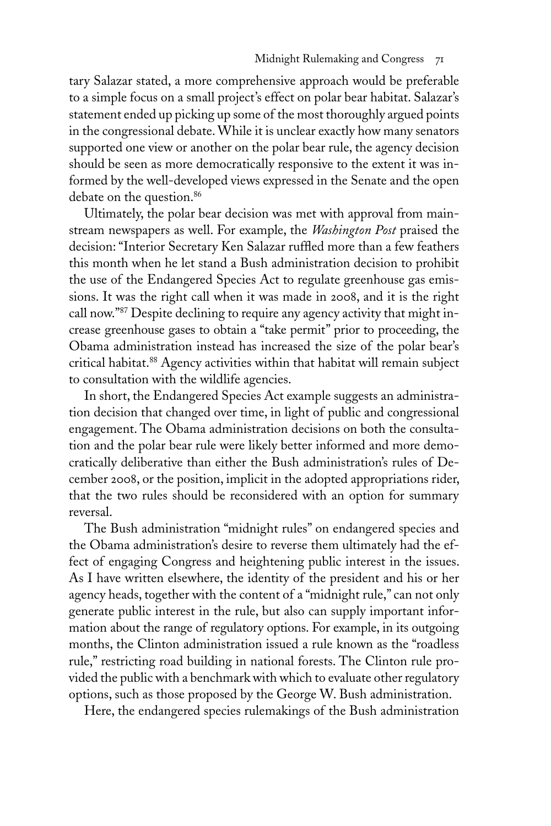tary Salazar stated, a more comprehensive approach would be preferable to a simple focus on a small project's effect on polar bear habitat. Salazar's statement ended up picking up some of the most thoroughly argued points in the congressional debate. While it is unclear exactly how many senators supported one view or another on the polar bear rule, the agency decision should be seen as more democratically responsive to the extent it was informed by the well-developed views expressed in the Senate and the open debate on the question.<sup>86</sup>

Ultimately, the polar bear decision was met with approval from mainstream newspapers as well. For example, the *Washington Post* praised the decision: "Interior Secretary Ken Salazar ruffled more than a few feathers this month when he let stand a Bush administration decision to prohibit the use of the Endangered Species Act to regulate greenhouse gas emissions. It was the right call when it was made in 2008, and it is the right call now."87 Despite declining to require any agency activity that might increase greenhouse gases to obtain a "take permit" prior to proceeding, the Obama administration instead has increased the size of the polar bear's critical habitat.<sup>88</sup> Agency activities within that habitat will remain subject to consultation with the wildlife agencies.

In short, the Endangered Species Act example suggests an administration decision that changed over time, in light of public and congressional engagement. The Obama administration decisions on both the consultation and the polar bear rule were likely better informed and more democratically deliberative than either the Bush administration's rules of December 2008, or the position, implicit in the adopted appropriations rider, that the two rules should be reconsidered with an option for summary reversal.

The Bush administration "midnight rules" on endangered species and the Obama administration's desire to reverse them ultimately had the effect of engaging Congress and heightening public interest in the issues. As I have written elsewhere, the identity of the president and his or her agency heads, together with the content of a "midnight rule," can not only generate public interest in the rule, but also can supply important information about the range of regulatory options. For example, in its outgoing months, the Clinton administration issued a rule known as the "roadless rule," restricting road building in national forests. The Clinton rule provided the public with a benchmark with which to evaluate other regulatory options, such as those proposed by the George W. Bush administration.

Here, the endangered species rulemakings of the Bush administration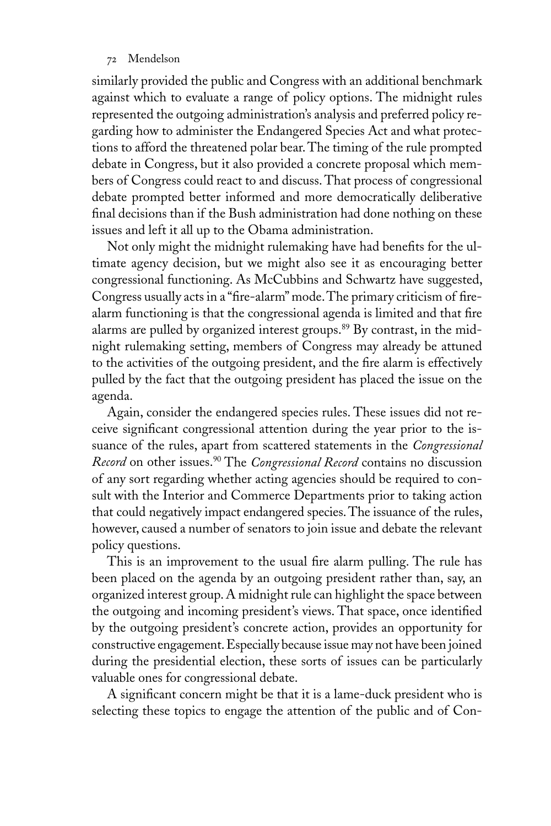similarly provided the public and Congress with an additional benchmark against which to evaluate a range of policy options. The midnight rules represented the outgoing administration's analysis and preferred policy regarding how to administer the Endangered Species Act and what protections to afford the threatened polar bear. The timing of the rule prompted debate in Congress, but it also provided a concrete proposal which members of Congress could react to and discuss. That process of congressional debate prompted better informed and more democratically deliberative final decisions than if the Bush administration had done nothing on these issues and left it all up to the Obama administration.

Not only might the midnight rulemaking have had benefits for the ultimate agency decision, but we might also see it as encouraging better congressional functioning. As McCubbins and Schwartz have suggested, Congress usually acts in a "fire-alarm" mode. The primary criticism of firealarm functioning is that the congressional agenda is limited and that fire alarms are pulled by organized interest groups.<sup>89</sup> By contrast, in the midnight rulemaking setting, members of Congress may already be attuned to the activities of the outgoing president, and the fire alarm is effectively pulled by the fact that the outgoing president has placed the issue on the agenda.

Again, consider the endangered species rules. These issues did not receive significant congressional attention during the year prior to the issuance of the rules, apart from scattered statements in the *Congressional Record* on other issues.<sup>90</sup> The *Congressional Record* contains no discussion of any sort regarding whether acting agencies should be required to consult with the Interior and Commerce Departments prior to taking action that could negatively impact endangered species. The issuance of the rules, however, caused a number of senators to join issue and debate the relevant policy questions.

This is an improvement to the usual fire alarm pulling. The rule has been placed on the agenda by an outgoing president rather than, say, an organized interest group. A midnight rule can highlight the space between the outgoing and incoming president's views. That space, once identified by the outgoing president's concrete action, provides an opportunity for constructive engagement. Especially because issue may not have been joined during the presidential election, these sorts of issues can be particularly valuable ones for congressional debate.

A significant concern might be that it is a lame-duck president who is selecting these topics to engage the attention of the public and of Con-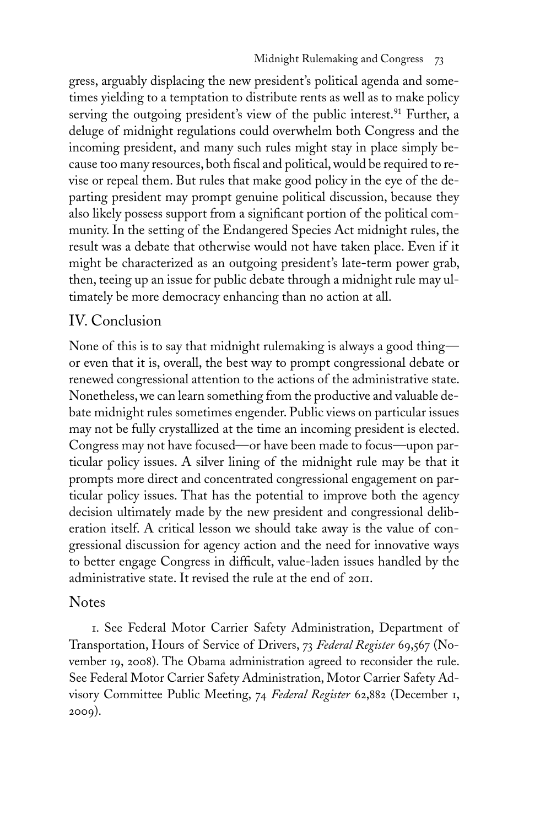gress, arguably displacing the new president's political agenda and sometimes yielding to a temptation to distribute rents as well as to make policy serving the outgoing president's view of the public interest.<sup>91</sup> Further, a deluge of midnight regulations could overwhelm both Congress and the incoming president, and many such rules might stay in place simply because too many resources, both fiscal and political, would be required to revise or repeal them. But rules that make good policy in the eye of the departing president may prompt genuine political discussion, because they also likely possess support from a significant portion of the political community. In the setting of the Endangered Species Act midnight rules, the result was a debate that otherwise would not have taken place. Even if it might be characterized as an outgoing president's late-term power grab, then, teeing up an issue for public debate through a midnight rule may ultimately be more democracy enhancing than no action at all.

# IV. Conclusion

None of this is to say that midnight rulemaking is always a good thing or even that it is, overall, the best way to prompt congressional debate or renewed congressional attention to the actions of the administrative state. Nonetheless, we can learn something from the productive and valuable debate midnight rules sometimes engender. Public views on particular issues may not be fully crystallized at the time an incoming president is elected. Congress may not have focused—or have been made to focus—upon particular policy issues. A silver lining of the midnight rule may be that it prompts more direct and concentrated congressional engagement on particular policy issues. That has the potential to improve both the agency decision ultimately made by the new president and congressional deliberation itself. A critical lesson we should take away is the value of congressional discussion for agency action and the need for innovative ways to better engage Congress in difficult, value-laden issues handled by the administrative state. It revised the rule at the end of 2011.

## **Notes**

1. See Federal Motor Carrier Safety Administration, Department of Transportation, Hours of Service of Drivers, 73 *Federal Register* 69,567 (November 19, 2008). The Obama administration agreed to reconsider the rule. See Federal Motor Carrier Safety Administration, Motor Carrier Safety Advisory Committee Public Meeting, 74 *Federal Register* 62,882 (December 1, 2009).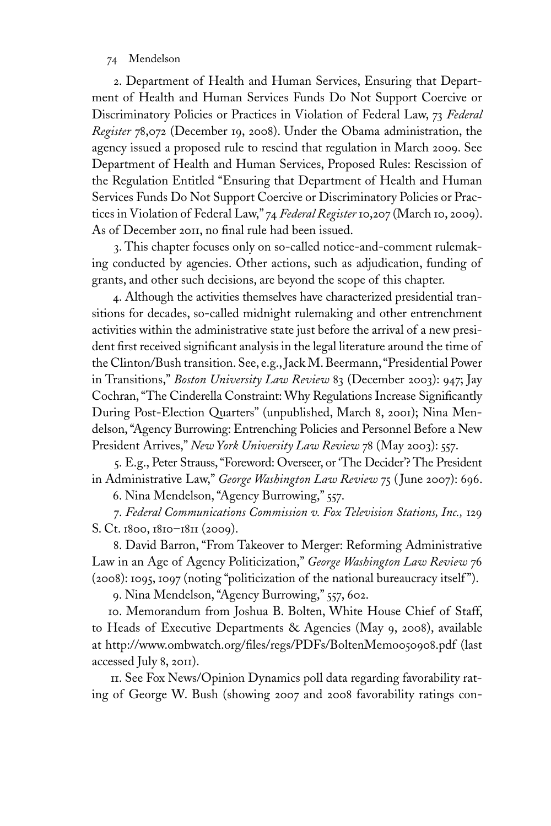2. Department of Health and Human Services, Ensuring that Department of Health and Human Services Funds Do Not Support Coercive or Discriminatory Policies or Practices in Violation of Federal Law, 73 *Federal Register* 78,072 (December 19, 2008). Under the Obama administration, the agency issued a proposed rule to rescind that regulation in March 2009. See Department of Health and Human Services, Proposed Rules: Rescission of the Regulation Entitled "Ensuring that Department of Health and Human Services Funds Do Not Support Coercive or Discriminatory Policies or Practices in Violation of Federal Law," 74 *Federal Register* 10,207 (March 10, 2009). As of December 2011, no final rule had been issued.

3. This chapter focuses only on so-called notice-and-comment rulemaking conducted by agencies. Other actions, such as adjudication, funding of grants, and other such decisions, are beyond the scope of this chapter.

4. Although the activities themselves have characterized presidential transitions for decades, so-called midnight rulemaking and other entrenchment activities within the administrative state just before the arrival of a new president first received significant analysis in the legal literature around the time of the Clinton/Bush transition. See, e.g., Jack M. Beermann, "Presidential Power in Transitions," *Boston University Law Review* 83 (December 2003): 947; Jay Cochran, "The Cinderella Constraint: Why Regulations Increase Significantly During Post-Election Quarters" (unpublished, March 8, 2001); Nina Mendelson, "Agency Burrowing: Entrenching Policies and Personnel Before a New President Arrives," *New York University Law Review* 78 (May 2003): 557.

5. E.g., Peter Strauss, "Foreword: Overseer, or 'The Decider'? The President in Administrative Law," *George Washington Law Review* 75 ( June 2007): 696.

6. Nina Mendelson, "Agency Burrowing," 557.

7. *Federal Communications Commission v. Fox Television Stations, Inc.,* 129 S. Ct. 1800, 1810–1811 (2009).

8. David Barron, "From Takeover to Merger: Reforming Administrative Law in an Age of Agency Politicization," *George Washington Law Review* 76 (2008): 1095, 1097 (noting "politicization of the national bureaucracy itself ").

9. Nina Mendelson, "Agency Burrowing," 557, 602.

10. Memorandum from Joshua B. Bolten, White House Chief of Staff, to Heads of Executive Departments & Agencies (May 9, 2008), available at http://www.ombwatch.org/files/regs/PDFs/BoltenMemo050908.pdf (last accessed July 8, 2011).

11. See Fox News/Opinion Dynamics poll data regarding favorability rating of George W. Bush (showing 2007 and 2008 favorability ratings con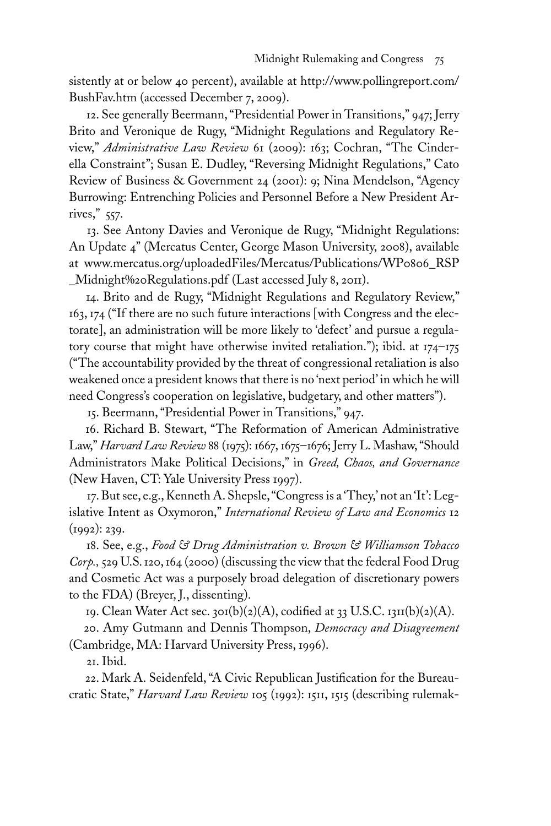sistently at or below 40 percent), available at http://www.pollingreport.com/ BushFav.htm (accessed December 7, 2009).

12. See generally Beermann, "Presidential Power in Transitions," 947; Jerry Brito and Veronique de Rugy, "Midnight Regulations and Regulatory Review," *Administrative Law Review* 61 (2009): 163; Cochran, "The Cinderella Constraint"; Susan E. Dudley, "Reversing Midnight Regulations," Cato Review of Business & Government 24 (2001): 9; Nina Mendelson, "Agency Burrowing: Entrenching Policies and Personnel Before a New President Arrives," 557.

13. See Antony Davies and Veronique de Rugy, "Midnight Regulations: An Update 4" (Mercatus Center, George Mason University, 2008), available at www.mercatus.org/uploadedFiles/Mercatus/Publications/WP0806\_RSP \_Midnight%20Regulations.pdf (Last accessed July 8, 2011).

14. Brito and de Rugy, "Midnight Regulations and Regulatory Review," 163, 174 ("If there are no such future interactions [with Congress and the electorate], an administration will be more likely to 'defect' and pursue a regulatory course that might have otherwise invited retaliation."); ibid. at 174–175 ("The accountability provided by the threat of congressional retaliation is also weakened once a president knows that there is no 'next period' in which he will need Congress's cooperation on legislative, budgetary, and other matters").

15. Beermann, "Presidential Power in Transitions," 947.

16. Richard B. Stewart, "The Reformation of American Administrative Law," *Harvard Law Review* 88 (1975): 1667, 1675–1676; Jerry L. Mashaw, "Should Administrators Make Political Decisions," in *Greed, Chaos, and Governance* (New Haven, CT: Yale University Press 1997).

17. But see, e.g., Kenneth A. Shepsle, "Congress is a 'They,' not an 'It': Legislative Intent as Oxymoron," *International Review of Law and Economics* 12 (1992): 239.

18. See, e.g., *Food & Drug Administration v. Brown & Williamson Tobacco Corp.,* 529 U.S. 120, 164 (2000) (discussing the view that the federal Food Drug and Cosmetic Act was a purposely broad delegation of discretionary powers to the FDA) (Breyer, J., dissenting).

19. Clean Water Act sec. 301(b)(2)(A), codified at 33 U.S.C. 1311(b)(2)(A).

20. Amy Gutmann and Dennis Thompson, *Democracy and Disagreement*  (Cambridge, MA: Harvard University Press, 1996).

21. Ibid.

22. Mark A. Seidenfeld, "A Civic Republican Justification for the Bureaucratic State," *Harvard Law Review* 105 (1992): 1511, 1515 (describing rulemak-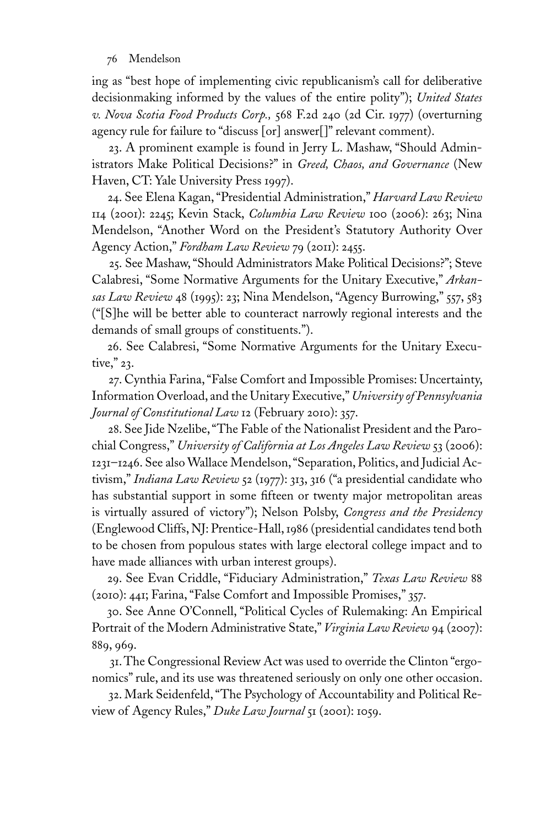ing as "best hope of implementing civic republicanism's call for deliberative decisionmaking informed by the values of the entire polity"); *United States v. Nova Scotia Food Products Corp.,* 568 F.2d 240 (2d Cir. 1977) (overturning agency rule for failure to "discuss [or] answer[]" relevant comment).

23. A prominent example is found in Jerry L. Mashaw, "Should Administrators Make Political Decisions?" in *Greed, Chaos, and Governance* (New Haven, CT: Yale University Press 1997).

24. See Elena Kagan, "Presidential Administration," *Harvard Law Review* 114 (2001): 2245; Kevin Stack, *Columbia Law Review* 100 (2006): 263; Nina Mendelson, "Another Word on the President's Statutory Authority Over Agency Action," *Fordham Law Review* 79 (2011): 2455.

25. See Mashaw, "Should Administrators Make Political Decisions?"; Steve Calabresi, "Some Normative Arguments for the Unitary Executive," *Arkansas Law Review* 48 (1995): 23; Nina Mendelson, "Agency Burrowing," 557, 583 ("[S]he will be better able to counteract narrowly regional interests and the demands of small groups of constituents.").

26. See Calabresi, "Some Normative Arguments for the Unitary Executive," 23.

27. Cynthia Farina, "False Comfort and Impossible Promises: Uncertainty, Information Overload, and the Unitary Executive," *University of Pennsylvania Journal of Constitutional Law* 12 (February 2010): 357.

28. See Jide Nzelibe, "The Fable of the Nationalist President and the Parochial Congress," *University of California at Los Angeles Law Review* 53 (2006): 1231–1246. See also Wallace Mendelson, "Separation, Politics, and Judicial Activism," *Indiana Law Review* 52 (1977): 313, 316 ("a presidential candidate who has substantial support in some fifteen or twenty major metropolitan areas is virtually assured of victory"); Nelson Polsby, *Congress and the Presidency* (Englewood Cliffs, NJ: Prentice-Hall, 1986 (presidential candidates tend both to be chosen from populous states with large electoral college impact and to have made alliances with urban interest groups).

29. See Evan Criddle, "Fiduciary Administration," *Texas Law Review* 88 (2010): 441; Farina, "False Comfort and Impossible Promises," 357.

30. See Anne O'Connell, "Political Cycles of Rulemaking: An Empirical Portrait of the Modern Administrative State," Virginia Law Review 94 (2007): 889, 969.

31. The Congressional Review Act was used to override the Clinton "ergonomics" rule, and its use was threatened seriously on only one other occasion.

32. Mark Seidenfeld, "The Psychology of Accountability and Political Review of Agency Rules," *Duke Law Journal* 51 (2001): 1059.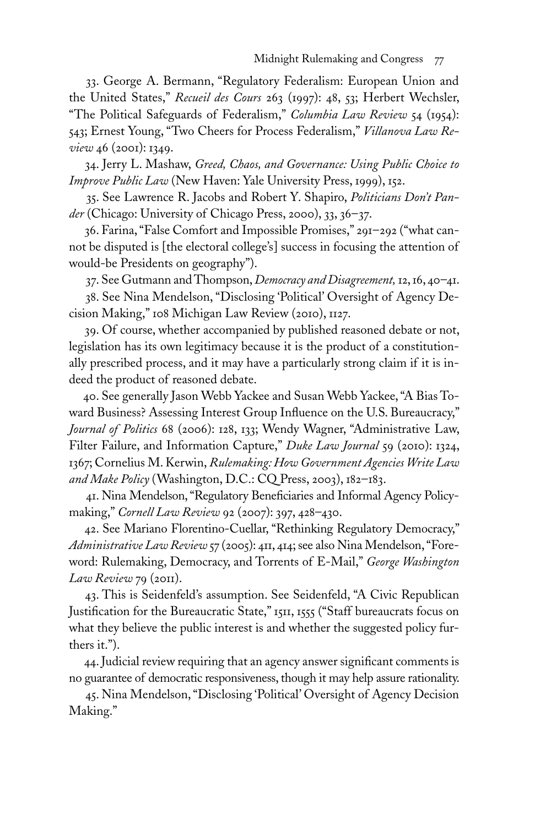33. George A. Bermann, "Regulatory Federalism: European Union and the United States," *Recueil des Cours* 263 (1997): 48, 53; Herbert Wechsler, "The Political Safeguards of Federalism," *Columbia Law Review* 54 (1954): 543; Ernest Young, "Two Cheers for Process Federalism," *Villanova Law Review* 46 (2001): 1349.

34. Jerry L. Mashaw, *Greed, Chaos, and Governance: Using Public Choice to Improve Public Law* (New Haven: Yale University Press, 1999), 152.

35. See Lawrence R. Jacobs and Robert Y. Shapiro, *Politicians Don't Pander* (Chicago: University of Chicago Press, 2000), 33, 36–37.

36. Farina, "False Comfort and Impossible Promises," 291–292 ("what cannot be disputed is [the electoral college's] success in focusing the attention of would-be Presidents on geography").

37. See Gutmann and Thompson, *Democracy and Disagreement,* 12, 16, 40–41.

38. See Nina Mendelson, "Disclosing 'Political' Oversight of Agency Decision Making," 108 Michigan Law Review (2010), 1127.

39. Of course, whether accompanied by published reasoned debate or not, legislation has its own legitimacy because it is the product of a constitutionally prescribed process, and it may have a particularly strong claim if it is indeed the product of reasoned debate.

40. See generally Jason Webb Yackee and Susan Webb Yackee, "A Bias Toward Business? Assessing Interest Group Influence on the U.S. Bureaucracy," *Journal of Politics* 68 (2006): 128, 133; Wendy Wagner, "Administrative Law, Filter Failure, and Information Capture," *Duke Law Journal* 59 (2010): 1324, 1367; Cornelius M. Kerwin, *Rulemaking: How Government Agencies Write Law and Make Policy* (Washington, D.C.: CQ Press, 2003), 182–183.

41. Nina Mendelson, "Regulatory Beneficiaries and Informal Agency Policymaking," *Cornell Law Review* 92 (2007): 397, 428–430.

42. See Mariano Florentino-Cuellar, "Rethinking Regulatory Democracy," *Administrative Law Review* 57 (2005): 411, 414; see also Nina Mendelson, "Foreword: Rulemaking, Democracy, and Torrents of E-Mail," *George Washington Law Review* 79 (2011).

43. This is Seidenfeld's assumption. See Seidenfeld, "A Civic Republican Justification for the Bureaucratic State," 1511, 1555 ("Staff bureaucrats focus on what they believe the public interest is and whether the suggested policy furthers it.").

44. Judicial review requiring that an agency answer significant comments is no guarantee of democratic responsiveness, though it may help assure rationality.

45. Nina Mendelson, "Disclosing 'Political' Oversight of Agency Decision Making."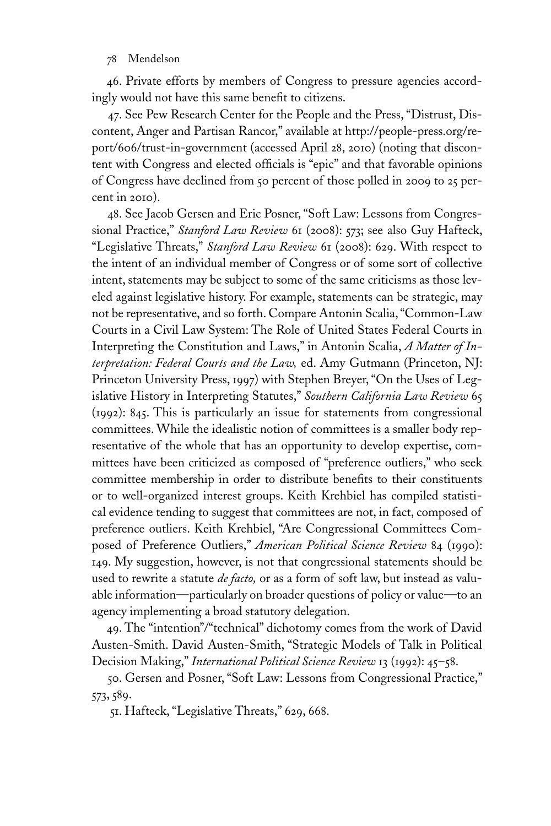46. Private efforts by members of Congress to pressure agencies accordingly would not have this same benefit to citizens.

47. See Pew Research Center for the People and the Press, "Distrust, Discontent, Anger and Partisan Rancor," available at http://people-press.org/report/606/trust-in-government (accessed April 28, 2010) (noting that discontent with Congress and elected officials is "epic" and that favorable opinions of Congress have declined from 50 percent of those polled in 2009 to 25 percent in 2010).

48. See Jacob Gersen and Eric Posner, "Soft Law: Lessons from Congressional Practice," *Stanford Law Review* 61 (2008): 573; see also Guy Hafteck, "Legislative Threats," *Stanford Law Review* 61 (2008): 629. With respect to the intent of an individual member of Congress or of some sort of collective intent, statements may be subject to some of the same criticisms as those leveled against legislative history. For example, statements can be strategic, may not be representative, and so forth. Compare Antonin Scalia, "Common-Law Courts in a Civil Law System: The Role of United States Federal Courts in Interpreting the Constitution and Laws," in Antonin Scalia, *A Matter of Interpretation: Federal Courts and the Law,* ed. Amy Gutmann (Princeton, NJ: Princeton University Press, 1997) with Stephen Breyer, "On the Uses of Legislative History in Interpreting Statutes," *Southern California Law Review* 65 (1992): 845. This is particularly an issue for statements from congressional committees. While the idealistic notion of committees is a smaller body representative of the whole that has an opportunity to develop expertise, committees have been criticized as composed of "preference outliers," who seek committee membership in order to distribute benefits to their constituents or to well-organized interest groups. Keith Krehbiel has compiled statistical evidence tending to suggest that committees are not, in fact, composed of preference outliers. Keith Krehbiel, "Are Congressional Committees Composed of Preference Outliers," *American Political Science Review* 84 (1990): 149. My suggestion, however, is not that congressional statements should be used to rewrite a statute *de facto,* or as a form of soft law, but instead as valuable information—particularly on broader questions of policy or value—to an agency implementing a broad statutory delegation.

49. The "intention"/"technical" dichotomy comes from the work of David Austen-Smith. David Austen-Smith, "Strategic Models of Talk in Political Decision Making," *International Political Science Review* 13 (1992): 45–58.

50. Gersen and Posner, "Soft Law: Lessons from Congressional Practice," 573, 589.

51. Hafteck, "Legislative Threats," 629, 668.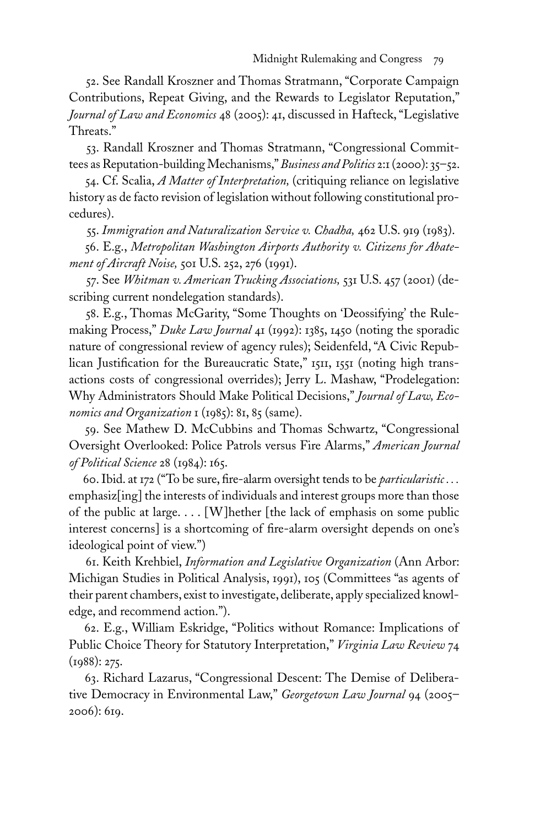52. See Randall Kroszner and Thomas Stratmann, "Corporate Campaign Contributions, Repeat Giving, and the Rewards to Legislator Reputation," *Journal of Law and Economics* 48 (2005): 41, discussed in Hafteck, "Legislative Threats."

53. Randall Kroszner and Thomas Stratmann, "Congressional Committees as Reputation-building Mechanisms," *Business and Politics* 2:1 (2000): 35–52.

54. Cf. Scalia, *A Matter of Interpretation,* (critiquing reliance on legislative history as de facto revision of legislation without following constitutional procedures).

55. *Immigration and Naturalization Service v. Chadha,* 462 U.S. 919 (1983).

56. E.g., *Metropolitan Washington Airports Authority v. Citizens for Abatement of Aircraft Noise,* 501 U.S. 252, 276 (1991).

57. See *Whitman v. American Trucking Associations,* 531 U.S. 457 (2001) (describing current nondelegation standards).

58. E.g., Thomas McGarity, "Some Thoughts on 'Deossifying' the Rulemaking Process," *Duke Law Journal* 41 (1992): 1385, 1450 (noting the sporadic nature of congressional review of agency rules); Seidenfeld, "A Civic Republican Justification for the Bureaucratic State," 1511, 1551 (noting high transactions costs of congressional overrides); Jerry L. Mashaw, "Prodelegation: Why Administrators Should Make Political Decisions," *Journal of Law, Economics and Organization* 1 (1985): 81, 85 (same).

59. See Mathew D. McCubbins and Thomas Schwartz, "Congressional Oversight Overlooked: Police Patrols versus Fire Alarms," *American Journal of Political Science* 28 (1984): 165.

60. Ibid. at 172 ("To be sure, fire-alarm oversight tends to be *particularistic . . .* emphasiz[ing] the interests of individuals and interest groups more than those of the public at large. . . . [W]hether [the lack of emphasis on some public interest concerns] is a shortcoming of fire-alarm oversight depends on one's ideological point of view.")

61. Keith Krehbiel, *Information and Legislative Organization* (Ann Arbor: Michigan Studies in Political Analysis, 1991), 105 (Committees "as agents of their parent chambers, exist to investigate, deliberate, apply specialized knowledge, and recommend action.").

62. E.g., William Eskridge, "Politics without Romance: Implications of Public Choice Theory for Statutory Interpretation," *Virginia Law Review* 74  $(1988): 275.$ 

63. Richard Lazarus, "Congressional Descent: The Demise of Deliberative Democracy in Environmental Law," *Georgetown Law Journal* 94 (2005– 2006): 619.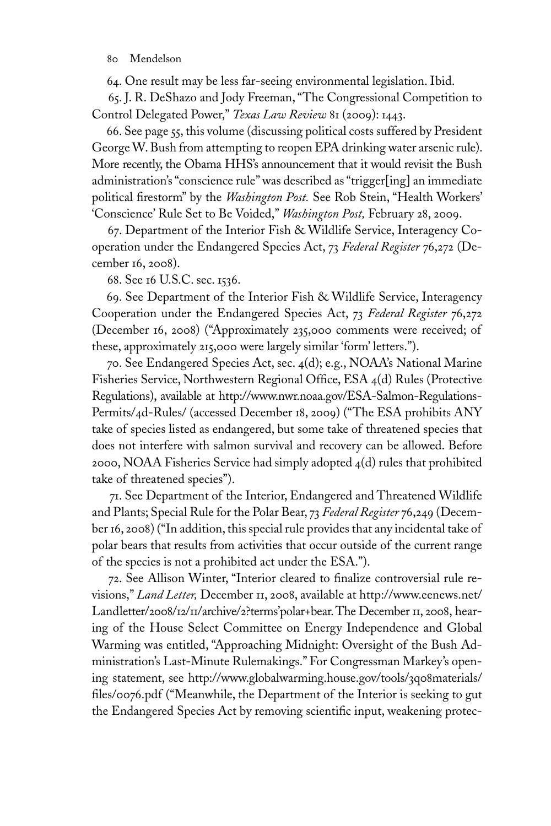64. One result may be less far-seeing environmental legislation. Ibid.

65. J. R. DeShazo and Jody Freeman, "The Congressional Competition to Control Delegated Power," *Texas Law Review* 81 (2009): 1443.

66. See page 55, this volume (discussing political costs suffered by President George W. Bush from attempting to reopen EPA drinking water arsenic rule). More recently, the Obama HHS's announcement that it would revisit the Bush administration's "conscience rule" was described as "trigger[ing] an immediate political firestorm" by the *Washington Post.* See Rob Stein, "Health Workers' 'Conscience' Rule Set to Be Voided," *Washington Post,* February 28, 2009.

67. Department of the Interior Fish & Wildlife Service, Interagency Cooperation under the Endangered Species Act, 73 *Federal Register* 76,272 (December 16, 2008).

68. See 16 U.S.C. sec. 1536.

69. See Department of the Interior Fish & Wildlife Service, Interagency Cooperation under the Endangered Species Act, 73 *Federal Register* 76,272 (December 16, 2008) ("Approximately 235,000 comments were received; of these, approximately 215,000 were largely similar 'form' letters.").

70. See Endangered Species Act, sec. 4(d); e.g., NOAA's National Marine Fisheries Service, Northwestern Regional Office, ESA 4(d) Rules (Protective Regulations), available at http://www.nwr.noaa.gov/ESA-Salmon-Regulations-Permits/4d-Rules/ (accessed December 18, 2009) ("The ESA prohibits ANY take of species listed as endangered, but some take of threatened species that does not interfere with salmon survival and recovery can be allowed. Before 2000, NOAA Fisheries Service had simply adopted 4(d) rules that prohibited take of threatened species").

71. See Department of the Interior, Endangered and Threatened Wildlife and Plants; Special Rule for the Polar Bear, 73 *Federal Register* 76,249 (December 16, 2008) ("In addition, this special rule provides that any incidental take of polar bears that results from activities that occur outside of the current range of the species is not a prohibited act under the ESA.").

72. See Allison Winter, "Interior cleared to finalize controversial rule revisions," *Land Letter,* December 11, 2008, available at http://www.eenews.net/ Landletter/2008/12/11/archive/2?terms'polar+bear. The December 11, 2008, hearing of the House Select Committee on Energy Independence and Global Warming was entitled, "Approaching Midnight: Oversight of the Bush Administration's Last-Minute Rulemakings." For Congressman Markey's opening statement, see http://www.globalwarming.house.gov/tools/3q08materials/ files/0076.pdf ("Meanwhile, the Department of the Interior is seeking to gut the Endangered Species Act by removing scientific input, weakening protec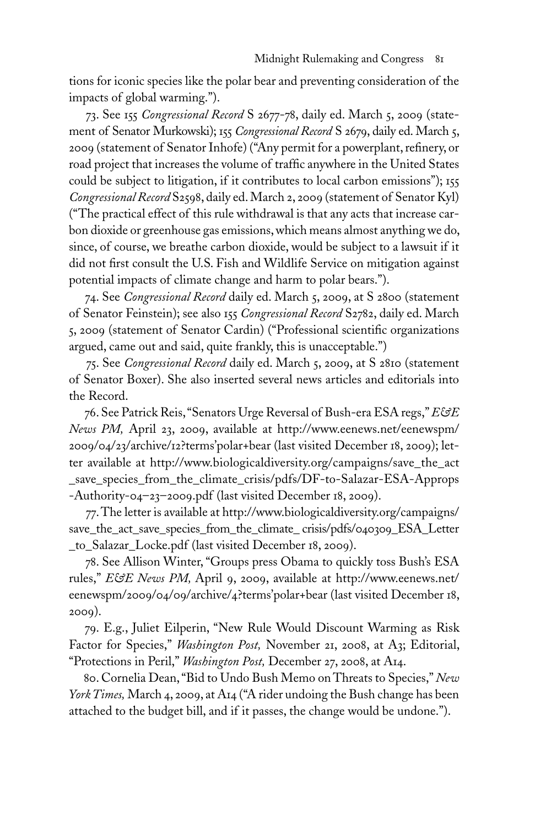tions for iconic species like the polar bear and preventing consideration of the impacts of global warming.").

73. See 155 *Congressional Record* S 2677-78, daily ed. March 5, 2009 (statement of Senator Murkowski); 155 *Congressional Record* S 2679, daily ed. March 5, 2009 (statement of Senator Inhofe) ("Any permit for a powerplant, refinery, or road project that increases the volume of traffic anywhere in the United States could be subject to litigation, if it contributes to local carbon emissions"); 155 *Congressional Record* S2598, daily ed. March 2, 2009 (statement of Senator Kyl) ("The practical effect of this rule withdrawal is that any acts that increase carbon dioxide or greenhouse gas emissions, which means almost anything we do, since, of course, we breathe carbon dioxide, would be subject to a lawsuit if it did not first consult the U.S. Fish and Wildlife Service on mitigation against potential impacts of climate change and harm to polar bears.").

74. See *Congressional Record* daily ed. March 5, 2009, at S 2800 (statement of Senator Feinstein); see also 155 *Congressional Record* S2782, daily ed. March 5, 2009 (statement of Senator Cardin) ("Professional scientific organizations argued, came out and said, quite frankly, this is unacceptable.")

75. See *Congressional Record* daily ed. March 5, 2009, at S 2810 (statement of Senator Boxer). She also inserted several news articles and editorials into the Record.

76. See Patrick Reis, "Senators Urge Reversal of Bush-era ESA regs," *E&E News PM,* April 23, 2009, available at http://www.eenews.net/eenewspm/ 2009/04/23/archive/12?terms'polar+bear (last visited December 18, 2009); letter available at http://www.biologicaldiversity.org/campaigns/save\_the\_act \_save\_species\_from\_the\_climate\_crisis/pdfs/DF-to-Salazar-ESA-Approps -Authority-04–23–2009.pdf (last visited December 18, 2009).

77. The letter is available at http://www.biologicaldiversity.org/campaigns/ save\_the\_act\_save\_species\_from\_the\_climate\_ crisis/pdfs/040309\_ESA\_Letter \_to\_Salazar\_Locke.pdf (last visited December 18, 2009).

78. See Allison Winter, "Groups press Obama to quickly toss Bush's ESA rules," *E&E News PM,* April 9, 2009, available at http://www.eenews.net/ eenewspm/2009/04/09/archive/4?terms'polar+bear (last visited December 18, 2009).

79. E.g., Juliet Eilperin, "New Rule Would Discount Warming as Risk Factor for Species," *Washington Post,* November 21, 2008, at A3; Editorial, "Protections in Peril," *Washington Post,* December 27, 2008, at A14.

80. Cornelia Dean, "Bid to Undo Bush Memo on Threats to Species," *New York Times,* March 4, 2009, at A14 ("A rider undoing the Bush change has been attached to the budget bill, and if it passes, the change would be undone.").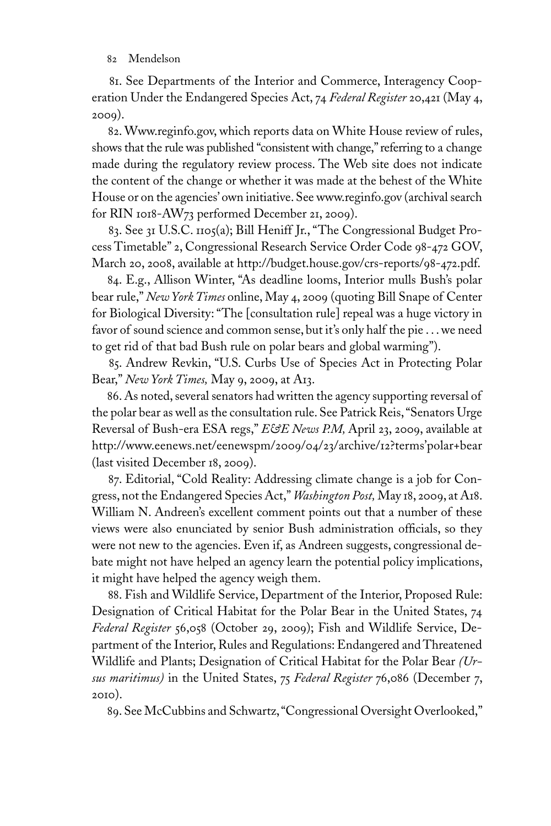81. See Departments of the Interior and Commerce, Interagency Cooperation Under the Endangered Species Act, 74 *Federal Register* 20,421 (May 4, 2009).

82. Www.reginfo.gov, which reports data on White House review of rules, shows that the rule was published "consistent with change," referring to a change made during the regulatory review process. The Web site does not indicate the content of the change or whether it was made at the behest of the White House or on the agencies' own initiative. See www.reginfo.gov (archival search for RIN 1018-AW73 performed December 21, 2009).

83. See 31 U.S.C. 1105(a); Bill Heniff Jr., "The Congressional Budget Process Timetable" 2, Congressional Research Service Order Code 98-472 GOV, March 20, 2008, available at http://budget.house.gov/crs-reports/98-472.pdf.

84. E.g., Allison Winter, "As deadline looms, Interior mulls Bush's polar bear rule," *New York Times* online, May 4, 2009 (quoting Bill Snape of Center for Biological Diversity: "The [consultation rule] repeal was a huge victory in favor of sound science and common sense, but it's only half the pie . . . we need to get rid of that bad Bush rule on polar bears and global warming").

85. Andrew Revkin, "U.S. Curbs Use of Species Act in Protecting Polar Bear," *New York Times,* May 9, 2009, at A13.

86. As noted, several senators had written the agency supporting reversal of the polar bear as well as the consultation rule. See Patrick Reis, "Senators Urge Reversal of Bush-era ESA regs," *E&E News P.M*, April 23, 2009, available at http://www.eenews.net/eenewspm/2009/04/23/archive/12?terms'polar+bear (last visited December 18, 2009).

87. Editorial, "Cold Reality: Addressing climate change is a job for Congress, not the Endangered Species Act," *Washington Post,* May 18, 2009, at A18. William N. Andreen's excellent comment points out that a number of these views were also enunciated by senior Bush administration officials, so they were not new to the agencies. Even if, as Andreen suggests, congressional debate might not have helped an agency learn the potential policy implications, it might have helped the agency weigh them.

88. Fish and Wildlife Service, Department of the Interior, Proposed Rule: Designation of Critical Habitat for the Polar Bear in the United States, 74 *Federal Register* 56,058 (October 29, 2009); Fish and Wildlife Service, Department of the Interior, Rules and Regulations: Endangered and Threatened Wildlife and Plants; Designation of Critical Habitat for the Polar Bear *(Ursus maritimus)* in the United States, 75 *Federal Register* 76,086 (December 7, 2010).

89. See McCubbins and Schwartz, "Congressional Oversight Overlooked,"